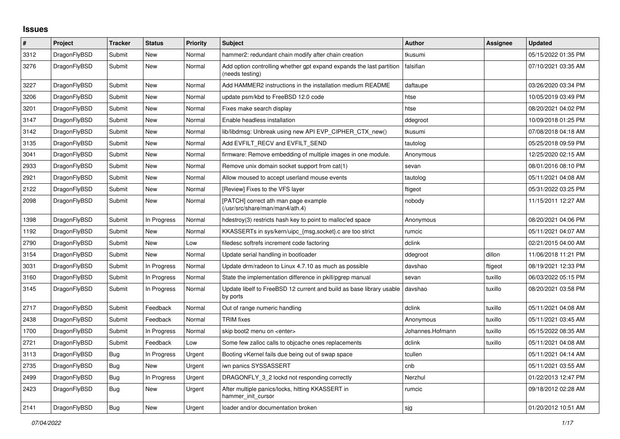## **Issues**

| #    | Project      | <b>Tracker</b> | <b>Status</b> | <b>Priority</b> | <b>Subject</b>                                                                          | <b>Author</b>    | Assignee | <b>Updated</b>      |
|------|--------------|----------------|---------------|-----------------|-----------------------------------------------------------------------------------------|------------------|----------|---------------------|
| 3312 | DragonFlyBSD | Submit         | <b>New</b>    | Normal          | hammer2: redundant chain modify after chain creation                                    | tkusumi          |          | 05/15/2022 01:35 PM |
| 3276 | DragonFlyBSD | Submit         | New           | Normal          | Add option controlling whether gpt expand expands the last partition<br>(needs testing) | falsifian        |          | 07/10/2021 03:35 AM |
| 3227 | DragonFlyBSD | Submit         | <b>New</b>    | Normal          | Add HAMMER2 instructions in the installation medium README                              | daftaupe         |          | 03/26/2020 03:34 PM |
| 3206 | DragonFlyBSD | Submit         | New           | Normal          | update psm/kbd to FreeBSD 12.0 code                                                     | htse             |          | 10/05/2019 03:49 PM |
| 3201 | DragonFlyBSD | Submit         | <b>New</b>    | Normal          | Fixes make search display                                                               | htse             |          | 08/20/2021 04:02 PM |
| 3147 | DragonFlyBSD | Submit         | <b>New</b>    | Normal          | Enable headless installation                                                            | ddegroot         |          | 10/09/2018 01:25 PM |
| 3142 | DragonFlyBSD | Submit         | <b>New</b>    | Normal          | lib/libdmsg: Unbreak using new API EVP_CIPHER_CTX_new()                                 | tkusumi          |          | 07/08/2018 04:18 AM |
| 3135 | DragonFlyBSD | Submit         | <b>New</b>    | Normal          | Add EVFILT_RECV and EVFILT_SEND                                                         | tautolog         |          | 05/25/2018 09:59 PM |
| 3041 | DragonFlyBSD | Submit         | <b>New</b>    | Normal          | firmware: Remove embedding of multiple images in one module.                            | Anonymous        |          | 12/25/2020 02:15 AM |
| 2933 | DragonFlyBSD | Submit         | <b>New</b>    | Normal          | Remove unix domain socket support from cat(1)                                           | sevan            |          | 08/01/2016 08:10 PM |
| 2921 | DragonFlyBSD | Submit         | <b>New</b>    | Normal          | Allow moused to accept userland mouse events                                            | tautolog         |          | 05/11/2021 04:08 AM |
| 2122 | DragonFlyBSD | Submit         | <b>New</b>    | Normal          | [Review] Fixes to the VFS layer                                                         | ftigeot          |          | 05/31/2022 03:25 PM |
| 2098 | DragonFlyBSD | Submit         | <b>New</b>    | Normal          | [PATCH] correct ath man page example<br>(/usr/src/share/man/man4/ath.4)                 | nobody           |          | 11/15/2011 12:27 AM |
| 1398 | DragonFlyBSD | Submit         | In Progress   | Normal          | hdestroy(3) restricts hash key to point to malloc'ed space                              | Anonymous        |          | 08/20/2021 04:06 PM |
| 1192 | DragonFlyBSD | Submit         | <b>New</b>    | Normal          | KKASSERTs in sys/kern/uipc_{msg,socket}.c are too strict                                | rumcic           |          | 05/11/2021 04:07 AM |
| 2790 | DragonFlyBSD | Submit         | <b>New</b>    | Low             | filedesc softrefs increment code factoring                                              | dclink           |          | 02/21/2015 04:00 AM |
| 3154 | DragonFlyBSD | Submit         | <b>New</b>    | Normal          | Update serial handling in bootloader                                                    | ddegroot         | dillon   | 11/06/2018 11:21 PM |
| 3031 | DragonFlyBSD | Submit         | In Progress   | Normal          | Update drm/radeon to Linux 4.7.10 as much as possible                                   | davshao          | ftigeot  | 08/19/2021 12:33 PM |
| 3160 | DragonFlyBSD | Submit         | In Progress   | Normal          | State the implementation difference in pkill/pgrep manual                               | sevan            | tuxillo  | 06/03/2022 05:15 PM |
| 3145 | DragonFlyBSD | Submit         | In Progress   | Normal          | Update libelf to FreeBSD 12 current and build as base library usable<br>by ports        | davshao          | tuxillo  | 08/20/2021 03:58 PM |
| 2717 | DragonFlyBSD | Submit         | Feedback      | Normal          | Out of range numeric handling                                                           | dclink           | tuxillo  | 05/11/2021 04:08 AM |
| 2438 | DragonFlyBSD | Submit         | Feedback      | Normal          | <b>TRIM</b> fixes                                                                       | Anonymous        | tuxillo  | 05/11/2021 03:45 AM |
| 1700 | DragonFlyBSD | Submit         | In Progress   | Normal          | skip boot2 menu on <enter></enter>                                                      | Johannes.Hofmann | tuxillo  | 05/15/2022 08:35 AM |
| 2721 | DragonFlyBSD | Submit         | Feedback      | Low             | Some few zalloc calls to objcache ones replacements                                     | dclink           | tuxillo  | 05/11/2021 04:08 AM |
| 3113 | DragonFlyBSD | Bug            | In Progress   | Urgent          | Booting vKernel fails due being out of swap space                                       | tcullen          |          | 05/11/2021 04:14 AM |
| 2735 | DragonFlyBSD | <b>Bug</b>     | <b>New</b>    | Urgent          | iwn panics SYSSASSERT                                                                   | cnb              |          | 05/11/2021 03:55 AM |
| 2499 | DragonFlyBSD | <b>Bug</b>     | In Progress   | Urgent          | DRAGONFLY 3 2 lockd not responding correctly                                            | Nerzhul          |          | 01/22/2013 12:47 PM |
| 2423 | DragonFlyBSD | Bug            | New           | Urgent          | After multiple panics/locks, hitting KKASSERT in<br>hammer init cursor                  | rumcic           |          | 09/18/2012 02:28 AM |
| 2141 | DragonFlyBSD | Bug            | New           | Urgent          | loader and/or documentation broken                                                      | sjg              |          | 01/20/2012 10:51 AM |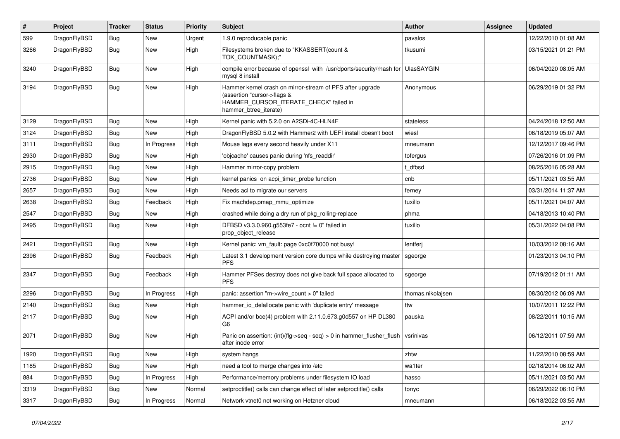| $\vert$ # | <b>Project</b> | <b>Tracker</b> | <b>Status</b> | <b>Priority</b> | <b>Subject</b>                                                                                                                                              | <b>Author</b>     | Assignee | Updated             |
|-----------|----------------|----------------|---------------|-----------------|-------------------------------------------------------------------------------------------------------------------------------------------------------------|-------------------|----------|---------------------|
| 599       | DragonFlyBSD   | <b>Bug</b>     | <b>New</b>    | Urgent          | 1.9.0 reproducable panic                                                                                                                                    | pavalos           |          | 12/22/2010 01:08 AM |
| 3266      | DragonFlyBSD   | <b>Bug</b>     | <b>New</b>    | High            | Filesystems broken due to "KKASSERT(count &<br>TOK COUNTMASK);"                                                                                             | tkusumi           |          | 03/15/2021 01:21 PM |
| 3240      | DragonFlyBSD   | Bug            | New           | High            | compile error because of openssl with /usr/dports/security/rhash for<br>mysql 8 install                                                                     | <b>UlasSAYGIN</b> |          | 06/04/2020 08:05 AM |
| 3194      | DragonFlyBSD   | Bug            | <b>New</b>    | High            | Hammer kernel crash on mirror-stream of PFS after upgrade<br>(assertion "cursor->flags &<br>HAMMER_CURSOR_ITERATE_CHECK" failed in<br>hammer btree iterate) | Anonymous         |          | 06/29/2019 01:32 PM |
| 3129      | DragonFlyBSD   | Bug            | <b>New</b>    | High            | Kernel panic with 5.2.0 on A2SDi-4C-HLN4F                                                                                                                   | stateless         |          | 04/24/2018 12:50 AM |
| 3124      | DragonFlyBSD   | Bug            | New           | High            | DragonFlyBSD 5.0.2 with Hammer2 with UEFI install doesn't boot                                                                                              | wiesl             |          | 06/18/2019 05:07 AM |
| 3111      | DragonFlyBSD   | Bug            | In Progress   | High            | Mouse lags every second heavily under X11                                                                                                                   | mneumann          |          | 12/12/2017 09:46 PM |
| 2930      | DragonFlyBSD   | Bug            | New           | High            | 'objcache' causes panic during 'nfs readdir'                                                                                                                | tofergus          |          | 07/26/2016 01:09 PM |
| 2915      | DragonFlyBSD   | Bug            | New           | High            | Hammer mirror-copy problem                                                                                                                                  | t dfbsd           |          | 08/25/2016 05:28 AM |
| 2736      | DragonFlyBSD   | Bug            | New           | High            | kernel panics on acpi timer probe function                                                                                                                  | cnb               |          | 05/11/2021 03:55 AM |
| 2657      | DragonFlyBSD   | Bug            | New           | High            | Needs acl to migrate our servers                                                                                                                            | ferney            |          | 03/31/2014 11:37 AM |
| 2638      | DragonFlyBSD   | Bug            | Feedback      | High            | Fix machdep.pmap mmu optimize                                                                                                                               | tuxillo           |          | 05/11/2021 04:07 AM |
| 2547      | DragonFlyBSD   | Bug            | New           | High            | crashed while doing a dry run of pkg rolling-replace                                                                                                        | phma              |          | 04/18/2013 10:40 PM |
| 2495      | DragonFlyBSD   | Bug            | New           | High            | DFBSD v3.3.0.960.g553fe7 - ocnt != 0" failed in<br>prop_object_release                                                                                      | tuxillo           |          | 05/31/2022 04:08 PM |
| 2421      | DragonFlyBSD   | <b>Bug</b>     | <b>New</b>    | High            | Kernel panic: vm fault: page 0xc0f70000 not busy!                                                                                                           | lentferj          |          | 10/03/2012 08:16 AM |
| 2396      | DragonFlyBSD   | <b>Bug</b>     | Feedback      | High            | Latest 3.1 development version core dumps while destroying master<br><b>PFS</b>                                                                             | sgeorge           |          | 01/23/2013 04:10 PM |
| 2347      | DragonFlyBSD   | <b>Bug</b>     | Feedback      | High            | Hammer PFSes destroy does not give back full space allocated to<br><b>PFS</b>                                                                               | sgeorge           |          | 07/19/2012 01:11 AM |
| 2296      | DragonFlyBSD   | <b>Bug</b>     | In Progress   | High            | panic: assertion "m->wire_count > 0" failed                                                                                                                 | thomas.nikolajsen |          | 08/30/2012 06:09 AM |
| 2140      | DragonFlyBSD   | Bug            | New           | High            | hammer_io_delallocate panic with 'duplicate entry' message                                                                                                  | ttw               |          | 10/07/2011 12:22 PM |
| 2117      | DragonFlyBSD   | Bug            | <b>New</b>    | High            | ACPI and/or bce(4) problem with 2.11.0.673.g0d557 on HP DL380<br>G <sub>6</sub>                                                                             | pauska            |          | 08/22/2011 10:15 AM |
| 2071      | DragonFlyBSD   | Bug            | <b>New</b>    | High            | Panic on assertion: $(int)(flag->seq - seq) > 0$ in hammer flusher flush<br>after inode error                                                               | vsrinivas         |          | 06/12/2011 07:59 AM |
| 1920      | DragonFlyBSD   | <b>Bug</b>     | New           | High            | system hangs                                                                                                                                                | zhtw              |          | 11/22/2010 08:59 AM |
| 1185      | DragonFlyBSD   | Bug            | <b>New</b>    | High            | need a tool to merge changes into /etc                                                                                                                      | wa1ter            |          | 02/18/2014 06:02 AM |
| 884       | DragonFlyBSD   | Bug            | In Progress   | High            | Performance/memory problems under filesystem IO load                                                                                                        | hasso             |          | 05/11/2021 03:50 AM |
| 3319      | DragonFlyBSD   | Bug            | <b>New</b>    | Normal          | setproctitle() calls can change effect of later setproctitle() calls                                                                                        | tonyc             |          | 06/29/2022 06:10 PM |
| 3317      | DragonFlyBSD   | Bug            | In Progress   | Normal          | Network vtnet0 not working on Hetzner cloud                                                                                                                 | mneumann          |          | 06/18/2022 03:55 AM |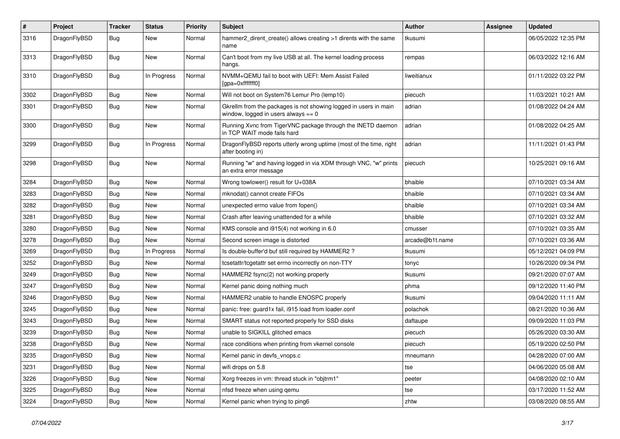| $\vert$ # | Project      | <b>Tracker</b> | <b>Status</b> | <b>Priority</b> | Subject                                                                                                   | Author          | <b>Assignee</b> | <b>Updated</b>      |
|-----------|--------------|----------------|---------------|-----------------|-----------------------------------------------------------------------------------------------------------|-----------------|-----------------|---------------------|
| 3316      | DragonFlyBSD | Bug            | New           | Normal          | hammer2 dirent create() allows creating >1 dirents with the same<br>name                                  | tkusumi         |                 | 06/05/2022 12:35 PM |
| 3313      | DragonFlyBSD | <b>Bug</b>     | <b>New</b>    | Normal          | Can't boot from my live USB at all. The kernel loading process<br>hangs.                                  | rempas          |                 | 06/03/2022 12:16 AM |
| 3310      | DragonFlyBSD | Bug            | In Progress   | Normal          | NVMM+QEMU fail to boot with UEFI: Mem Assist Failed<br>[gpa=0xfffffff0]                                   | liweitianux     |                 | 01/11/2022 03:22 PM |
| 3302      | DragonFlyBSD | <b>Bug</b>     | <b>New</b>    | Normal          | Will not boot on System76 Lemur Pro (lemp10)                                                              | piecuch         |                 | 11/03/2021 10:21 AM |
| 3301      | DragonFlyBSD | <b>Bug</b>     | New           | Normal          | Gkrellm from the packages is not showing logged in users in main<br>window, logged in users always $== 0$ | adrian          |                 | 01/08/2022 04:24 AM |
| 3300      | DragonFlyBSD | <b>Bug</b>     | <b>New</b>    | Normal          | Running Xvnc from TigerVNC package through the INETD daemon<br>in TCP WAIT mode fails hard                | adrian          |                 | 01/08/2022 04:25 AM |
| 3299      | DragonFlyBSD | Bug            | In Progress   | Normal          | DragonFlyBSD reports utterly wrong uptime (most of the time, right<br>after booting in)                   | adrian          |                 | 11/11/2021 01:43 PM |
| 3298      | DragonFlyBSD | <b>Bug</b>     | <b>New</b>    | Normal          | Running "w" and having logged in via XDM through VNC, "w" prints<br>an extra error message                | piecuch         |                 | 10/25/2021 09:16 AM |
| 3284      | DragonFlyBSD | <b>Bug</b>     | <b>New</b>    | Normal          | Wrong towlower() result for U+038A                                                                        | bhaible         |                 | 07/10/2021 03:34 AM |
| 3283      | DragonFlyBSD | <b>Bug</b>     | New           | Normal          | mknodat() cannot create FIFOs                                                                             | bhaible         |                 | 07/10/2021 03:34 AM |
| 3282      | DragonFlyBSD | Bug            | <b>New</b>    | Normal          | unexpected errno value from fopen()                                                                       | bhaible         |                 | 07/10/2021 03:34 AM |
| 3281      | DragonFlyBSD | <b>Bug</b>     | New           | Normal          | Crash after leaving unattended for a while                                                                | bhaible         |                 | 07/10/2021 03:32 AM |
| 3280      | DragonFlyBSD | Bug            | New           | Normal          | KMS console and i915(4) not working in 6.0                                                                | cmusser         |                 | 07/10/2021 03:35 AM |
| 3278      | DragonFlyBSD | <b>Bug</b>     | New           | Normal          | Second screen image is distorted                                                                          | arcade@b1t.name |                 | 07/10/2021 03:36 AM |
| 3269      | DragonFlyBSD | <b>Bug</b>     | In Progress   | Normal          | Is double-buffer'd buf still required by HAMMER2?                                                         | tkusumi         |                 | 05/12/2021 04:09 PM |
| 3252      | DragonFlyBSD | Bug            | <b>New</b>    | Normal          | tcsetattr/tcgetattr set errno incorrectly on non-TTY                                                      | tonyc           |                 | 10/26/2020 09:34 PM |
| 3249      | DragonFlyBSD | <b>Bug</b>     | New           | Normal          | HAMMER2 fsync(2) not working properly                                                                     | tkusumi         |                 | 09/21/2020 07:07 AM |
| 3247      | DragonFlyBSD | <b>Bug</b>     | New           | Normal          | Kernel panic doing nothing much                                                                           | phma            |                 | 09/12/2020 11:40 PM |
| 3246      | DragonFlyBSD | <b>Bug</b>     | <b>New</b>    | Normal          | HAMMER2 unable to handle ENOSPC properly                                                                  | tkusumi         |                 | 09/04/2020 11:11 AM |
| 3245      | DragonFlyBSD | Bug            | New           | Normal          | panic: free: quard1x fail, i915 load from loader.conf                                                     | polachok        |                 | 08/21/2020 10:36 AM |
| 3243      | DragonFlyBSD | Bug            | New           | Normal          | SMART status not reported properly for SSD disks                                                          | daftaupe        |                 | 09/09/2020 11:03 PM |
| 3239      | DragonFlyBSD | Bug            | New           | Normal          | unable to SIGKILL glitched emacs                                                                          | piecuch         |                 | 05/26/2020 03:30 AM |
| 3238      | DragonFlyBSD | <b>Bug</b>     | New           | Normal          | race conditions when printing from vkernel console                                                        | piecuch         |                 | 05/19/2020 02:50 PM |
| 3235      | DragonFlyBSD | Bug            | New           | Normal          | Kernel panic in devfs vnops.c                                                                             | mneumann        |                 | 04/28/2020 07:00 AM |
| 3231      | DragonFlyBSD | Bug            | New           | Normal          | wifi drops on 5.8                                                                                         | tse             |                 | 04/06/2020 05:08 AM |
| 3226      | DragonFlyBSD | <b>Bug</b>     | New           | Normal          | Xorg freezes in vm: thread stuck in "objtrm1"                                                             | peeter          |                 | 04/08/2020 02:10 AM |
| 3225      | DragonFlyBSD | <b>Bug</b>     | New           | Normal          | nfsd freeze when using gemu                                                                               | tse             |                 | 03/17/2020 11:52 AM |
| 3224      | DragonFlyBSD | Bug            | New           | Normal          | Kernel panic when trying to ping6                                                                         | zhtw            |                 | 03/08/2020 08:55 AM |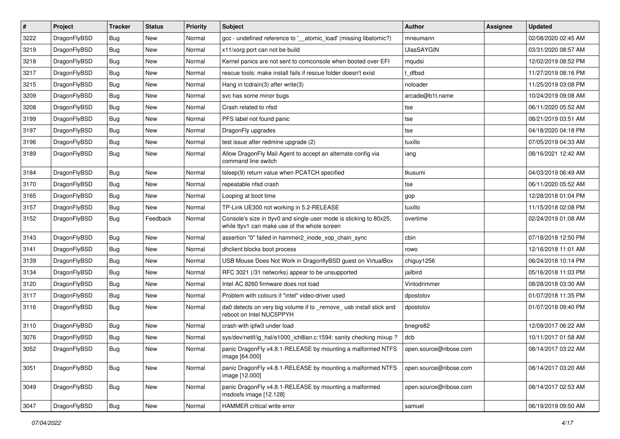| $\sharp$ | Project      | <b>Tracker</b> | <b>Status</b> | <b>Priority</b> | Subject                                                                                                            | <b>Author</b>          | Assignee | <b>Updated</b>      |
|----------|--------------|----------------|---------------|-----------------|--------------------------------------------------------------------------------------------------------------------|------------------------|----------|---------------------|
| 3222     | DragonFlyBSD | Bug            | New           | Normal          | gcc - undefined reference to '__atomic_load' (missing libatomic?)                                                  | mneumann               |          | 02/08/2020 02:45 AM |
| 3219     | DragonFlyBSD | Bug            | <b>New</b>    | Normal          | x11/xorg port can not be build                                                                                     | <b>UlasSAYGIN</b>      |          | 03/31/2020 08:57 AM |
| 3218     | DragonFlyBSD | <b>Bug</b>     | New           | Normal          | Kernel panics are not sent to comconsole when booted over EFI                                                      | mqudsi                 |          | 12/02/2019 08:52 PM |
| 3217     | DragonFlyBSD | <b>Bug</b>     | New           | Normal          | rescue tools: make install fails if rescue folder doesn't exist                                                    | t dfbsd                |          | 11/27/2019 08:16 PM |
| 3215     | DragonFlyBSD | <b>Bug</b>     | <b>New</b>    | Normal          | Hang in tcdrain(3) after write(3)                                                                                  | noloader               |          | 11/25/2019 03:08 PM |
| 3209     | DragonFlyBSD | <b>Bug</b>     | New           | Normal          | svc has some minor bugs                                                                                            | arcade@b1t.name        |          | 10/24/2019 09:08 AM |
| 3208     | DragonFlyBSD | <b>Bug</b>     | New           | Normal          | Crash related to nfsd                                                                                              | tse                    |          | 06/11/2020 05:52 AM |
| 3199     | DragonFlyBSD | <b>Bug</b>     | New           | Normal          | PFS label not found panic                                                                                          | tse                    |          | 08/21/2019 03:51 AM |
| 3197     | DragonFlyBSD | <b>Bug</b>     | New           | Normal          | DragonFly upgrades                                                                                                 | tse                    |          | 04/18/2020 04:18 PM |
| 3196     | DragonFlyBSD | <b>Bug</b>     | <b>New</b>    | Normal          | test issue after redmine upgrade (2)                                                                               | tuxillo                |          | 07/05/2019 04:33 AM |
| 3189     | DragonFlyBSD | <b>Bug</b>     | New           | Normal          | Allow DragonFly Mail Agent to accept an alternate config via<br>command line switch                                | iang                   |          | 08/16/2021 12:42 AM |
| 3184     | DragonFlyBSD | <b>Bug</b>     | <b>New</b>    | Normal          | tsleep(9) return value when PCATCH specified                                                                       | tkusumi                |          | 04/03/2019 06:49 AM |
| 3170     | DragonFlyBSD | <b>Bug</b>     | New           | Normal          | repeatable nfsd crash                                                                                              | tse                    |          | 06/11/2020 05:52 AM |
| 3165     | DragonFlyBSD | <b>Bug</b>     | <b>New</b>    | Normal          | Looping at boot time                                                                                               | gop                    |          | 12/28/2018 01:04 PM |
| 3157     | DragonFlyBSD | <b>Bug</b>     | New           | Normal          | TP-Link UE300 not working in 5.2-RELEASE                                                                           | tuxillo                |          | 11/15/2018 02:08 PM |
| 3152     | DragonFlyBSD | <b>Bug</b>     | Feedback      | Normal          | Console's size in ttyv0 and single user mode is sticking to 80x25,<br>while ttyv1 can make use of the whole screen | overtime               |          | 02/24/2019 01:08 AM |
| 3143     | DragonFlyBSD | <b>Bug</b>     | <b>New</b>    | Normal          | assertion "0" failed in hammer2 inode xop chain sync                                                               | cbin                   |          | 07/18/2018 12:50 PM |
| 3141     | DragonFlyBSD | <b>Bug</b>     | New           | Normal          | dhclient blocks boot process                                                                                       | rowo                   |          | 12/16/2018 11:01 AM |
| 3139     | DragonFlyBSD | <b>Bug</b>     | <b>New</b>    | Normal          | USB Mouse Does Not Work in DragonflyBSD guest on VirtualBox                                                        | chiguy1256             |          | 06/24/2018 10:14 PM |
| 3134     | DragonFlyBSD | <b>Bug</b>     | <b>New</b>    | Normal          | RFC 3021 (/31 networks) appear to be unsupported                                                                   | jailbird               |          | 05/16/2018 11:03 PM |
| 3120     | DragonFlyBSD | <b>Bug</b>     | New           | Normal          | Intel AC 8260 firmware does not load                                                                               | Vintodrimmer           |          | 08/28/2018 03:30 AM |
| 3117     | DragonFlyBSD | <b>Bug</b>     | <b>New</b>    | Normal          | Problem with colours if "intel" video-driver used                                                                  | dpostolov              |          | 01/07/2018 11:35 PM |
| 3116     | DragonFlyBSD | <b>Bug</b>     | New           | Normal          | da0 detects on very big volume if to _remove_usb install stick and<br>reboot on Intel NUC5PPYH                     | dpostolov              |          | 01/07/2018 09:40 PM |
| 3110     | DragonFlyBSD | <b>Bug</b>     | <b>New</b>    | Normal          | crash with ipfw3 under load                                                                                        | bnegre82               |          | 12/09/2017 06:22 AM |
| 3076     | DragonFlyBSD | <b>Bug</b>     | New           | Normal          | sys/dev/netif/ig_hal/e1000_ich8lan.c:1594: sanity checking mixup?                                                  | dcb                    |          | 10/11/2017 01:58 AM |
| 3052     | DragonFlyBSD | <b>Bug</b>     | New           | Normal          | panic DragonFly v4.8.1-RELEASE by mounting a malformed NTFS<br>image [64.000]                                      | open.source@ribose.com |          | 08/14/2017 03:22 AM |
| 3051     | DragonFlyBSD | <b>Bug</b>     | New           | Normal          | panic DragonFly v4.8.1-RELEASE by mounting a malformed NTFS<br>image [12.000]                                      | open.source@ribose.com |          | 08/14/2017 03:20 AM |
| 3049     | DragonFlyBSD | Bug            | New           | Normal          | panic DragonFly v4.8.1-RELEASE by mounting a malformed<br>msdosfs image [12.128]                                   | open.source@ribose.com |          | 08/14/2017 02:53 AM |
| 3047     | DragonFlyBSD | <b>Bug</b>     | New           | Normal          | HAMMER critical write error                                                                                        | samuel                 |          | 06/19/2019 09:50 AM |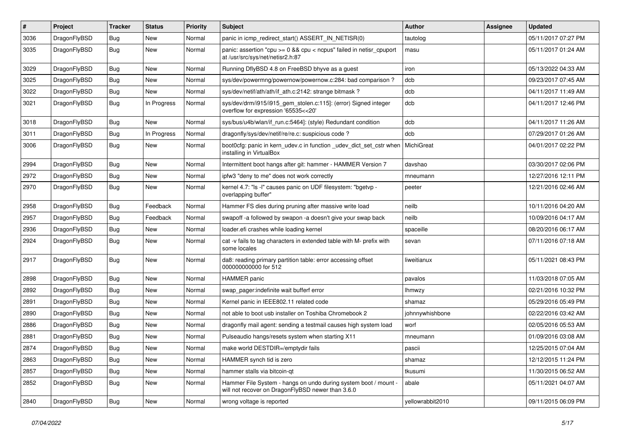| $\sharp$ | Project      | <b>Tracker</b> | <b>Status</b> | <b>Priority</b> | Subject                                                                                                              | Author           | Assignee | <b>Updated</b>      |
|----------|--------------|----------------|---------------|-----------------|----------------------------------------------------------------------------------------------------------------------|------------------|----------|---------------------|
| 3036     | DragonFlyBSD | <b>Bug</b>     | <b>New</b>    | Normal          | panic in icmp_redirect_start() ASSERT_IN_NETISR(0)                                                                   | tautolog         |          | 05/11/2017 07:27 PM |
| 3035     | DragonFlyBSD | Bug            | New           | Normal          | panic: assertion "cpu >= 0 && cpu < ncpus" failed in netisr_cpuport<br>at /usr/src/sys/net/netisr2.h:87              | masu             |          | 05/11/2017 01:24 AM |
| 3029     | DragonFlyBSD | Bug            | <b>New</b>    | Normal          | Running DflyBSD 4.8 on FreeBSD bhyve as a guest                                                                      | iron             |          | 05/13/2022 04:33 AM |
| 3025     | DragonFlyBSD | Bug            | <b>New</b>    | Normal          | sys/dev/powermng/powernow/powernow.c:284: bad comparison?                                                            | dcb              |          | 09/23/2017 07:45 AM |
| 3022     | DragonFlyBSD | <b>Bug</b>     | New           | Normal          | sys/dev/netif/ath/ath/if_ath.c:2142: strange bitmask?                                                                | dcb              |          | 04/11/2017 11:49 AM |
| 3021     | DragonFlyBSD | <b>Bug</b>     | In Progress   | Normal          | sys/dev/drm/i915/i915_gem_stolen.c:115]: (error) Signed integer<br>overflow for expression '65535<<20'               | dcb              |          | 04/11/2017 12:46 PM |
| 3018     | DragonFlyBSD | Bug            | <b>New</b>    | Normal          | sys/bus/u4b/wlan/if_run.c:5464]: (style) Redundant condition                                                         | dcb              |          | 04/11/2017 11:26 AM |
| 3011     | DragonFlyBSD | <b>Bug</b>     | In Progress   | Normal          | dragonfly/sys/dev/netif/re/re.c: suspicious code?                                                                    | dcb              |          | 07/29/2017 01:26 AM |
| 3006     | DragonFlyBSD | <b>Bug</b>     | <b>New</b>    | Normal          | boot0cfg: panic in kern_udev.c in function _udev_dict_set_cstr when<br>installing in VirtualBox                      | MichiGreat       |          | 04/01/2017 02:22 PM |
| 2994     | DragonFlyBSD | Bug            | <b>New</b>    | Normal          | Intermittent boot hangs after git: hammer - HAMMER Version 7                                                         | davshao          |          | 03/30/2017 02:06 PM |
| 2972     | DragonFlyBSD | Bug            | <b>New</b>    | Normal          | ipfw3 "deny to me" does not work correctly                                                                           | mneumann         |          | 12/27/2016 12:11 PM |
| 2970     | DragonFlyBSD | <b>Bug</b>     | New           | Normal          | kernel 4.7: "Is -I" causes panic on UDF filesystem: "bgetvp -<br>overlapping buffer"                                 | peeter           |          | 12/21/2016 02:46 AM |
| 2958     | DragonFlyBSD | Bug            | Feedback      | Normal          | Hammer FS dies during pruning after massive write load                                                               | neilb            |          | 10/11/2016 04:20 AM |
| 2957     | DragonFlyBSD | <b>Bug</b>     | Feedback      | Normal          | swapoff -a followed by swapon -a doesn't give your swap back                                                         | neilb            |          | 10/09/2016 04:17 AM |
| 2936     | DragonFlyBSD | <b>Bug</b>     | New           | Normal          | loader.efi crashes while loading kernel                                                                              | spaceille        |          | 08/20/2016 06:17 AM |
| 2924     | DragonFlyBSD | <b>Bug</b>     | New           | Normal          | cat -v fails to tag characters in extended table with M- prefix with<br>some locales                                 | sevan            |          | 07/11/2016 07:18 AM |
| 2917     | DragonFlyBSD | Bug            | New           | Normal          | da8: reading primary partition table: error accessing offset<br>000000000000 for 512                                 | liweitianux      |          | 05/11/2021 08:43 PM |
| 2898     | DragonFlyBSD | Bug            | <b>New</b>    | Normal          | <b>HAMMER</b> panic                                                                                                  | pavalos          |          | 11/03/2018 07:05 AM |
| 2892     | DragonFlyBSD | <b>Bug</b>     | New           | Normal          | swap_pager:indefinite wait bufferf error                                                                             | lhmwzy           |          | 02/21/2016 10:32 PM |
| 2891     | DragonFlyBSD | Bug            | <b>New</b>    | Normal          | Kernel panic in IEEE802.11 related code                                                                              | shamaz           |          | 05/29/2016 05:49 PM |
| 2890     | DragonFlyBSD | <b>Bug</b>     | New           | Normal          | not able to boot usb installer on Toshiba Chromebook 2                                                               | johnnywhishbone  |          | 02/22/2016 03:42 AM |
| 2886     | DragonFlyBSD | <b>Bug</b>     | New           | Normal          | dragonfly mail agent: sending a testmail causes high system load                                                     | worf             |          | 02/05/2016 05:53 AM |
| 2881     | DragonFlyBSD | Bug            | <b>New</b>    | Normal          | Pulseaudio hangs/resets system when starting X11                                                                     | mneumann         |          | 01/09/2016 03:08 AM |
| 2874     | DragonFlyBSD | <b>Bug</b>     | <b>New</b>    | Normal          | make world DESTDIR=/emptydir fails                                                                                   | pascii           |          | 12/25/2015 07:04 AM |
| 2863     | DragonFlyBSD | Bug            | New           | Normal          | HAMMER synch tid is zero                                                                                             | shamaz           |          | 12/12/2015 11:24 PM |
| 2857     | DragonFlyBSD | Bug            | New           | Normal          | hammer stalls via bitcoin-qt                                                                                         | tkusumi          |          | 11/30/2015 06:52 AM |
| 2852     | DragonFlyBSD | <b>Bug</b>     | New           | Normal          | Hammer File System - hangs on undo during system boot / mount -<br>will not recover on DragonFlyBSD newer than 3.6.0 | abale            |          | 05/11/2021 04:07 AM |
| 2840     | DragonFlyBSD | <b>Bug</b>     | New           | Normal          | wrong voltage is reported                                                                                            | yellowrabbit2010 |          | 09/11/2015 06:09 PM |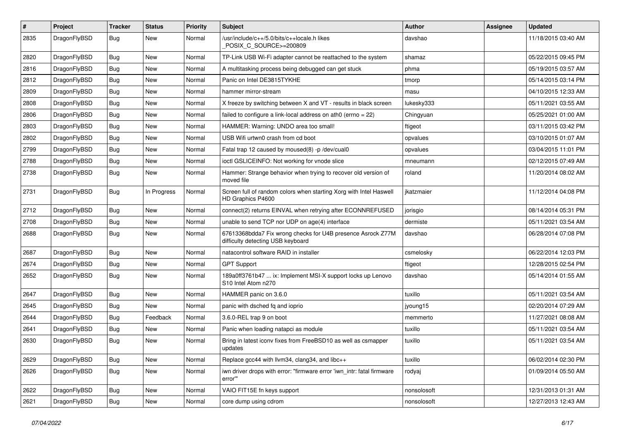| #    | Project      | <b>Tracker</b> | <b>Status</b> | <b>Priority</b> | Subject                                                                                          | <b>Author</b> | <b>Assignee</b> | <b>Updated</b>      |
|------|--------------|----------------|---------------|-----------------|--------------------------------------------------------------------------------------------------|---------------|-----------------|---------------------|
| 2835 | DragonFlyBSD | Bug            | New           | Normal          | /usr/include/c++/5.0/bits/c++locale.h likes<br>POSIX_C_SOURCE>=200809                            | davshao       |                 | 11/18/2015 03:40 AM |
| 2820 | DragonFlyBSD | <b>Bug</b>     | <b>New</b>    | Normal          | TP-Link USB Wi-Fi adapter cannot be reattached to the system                                     | shamaz        |                 | 05/22/2015 09:45 PM |
| 2816 | DragonFlyBSD | <b>Bug</b>     | <b>New</b>    | Normal          | A multitasking process being debugged can get stuck                                              | phma          |                 | 05/19/2015 03:57 AM |
| 2812 | DragonFlyBSD | Bug            | New           | Normal          | Panic on Intel DE3815TYKHE                                                                       | tmorp         |                 | 05/14/2015 03:14 PM |
| 2809 | DragonFlyBSD | Bug            | <b>New</b>    | Normal          | hammer mirror-stream                                                                             | masu          |                 | 04/10/2015 12:33 AM |
| 2808 | DragonFlyBSD | Bug            | <b>New</b>    | Normal          | X freeze by switching between X and VT - results in black screen                                 | lukesky333    |                 | 05/11/2021 03:55 AM |
| 2806 | DragonFlyBSD | Bug            | <b>New</b>    | Normal          | failed to configure a link-local address on ath0 (errno = $22$ )                                 | Chingyuan     |                 | 05/25/2021 01:00 AM |
| 2803 | DragonFlyBSD | Bug            | New           | Normal          | HAMMER: Warning: UNDO area too small!                                                            | ftigeot       |                 | 03/11/2015 03:42 PM |
| 2802 | DragonFlyBSD | Bug            | <b>New</b>    | Normal          | USB Wifi urtwn0 crash from cd boot                                                               | opvalues      |                 | 03/10/2015 01:07 AM |
| 2799 | DragonFlyBSD | Bug            | New           | Normal          | Fatal trap 12 caused by moused(8) -p/dev/cual0                                                   | opvalues      |                 | 03/04/2015 11:01 PM |
| 2788 | DragonFlyBSD | Bug            | New           | Normal          | ioctl GSLICEINFO: Not working for vnode slice                                                    | mneumann      |                 | 02/12/2015 07:49 AM |
| 2738 | DragonFlyBSD | Bug            | <b>New</b>    | Normal          | Hammer: Strange behavior when trying to recover old version of<br>moved file                     | roland        |                 | 11/20/2014 08:02 AM |
| 2731 | DragonFlyBSD | Bug            | In Progress   | Normal          | Screen full of random colors when starting Xorg with Intel Haswell<br>HD Graphics P4600          | ikatzmaier    |                 | 11/12/2014 04:08 PM |
| 2712 | DragonFlyBSD | <b>Bug</b>     | <b>New</b>    | Normal          | connect(2) returns EINVAL when retrying after ECONNREFUSED                                       | jorisgio      |                 | 08/14/2014 05:31 PM |
| 2708 | DragonFlyBSD | Bug            | New           | Normal          | unable to send TCP nor UDP on age(4) interface                                                   | dermiste      |                 | 05/11/2021 03:54 AM |
| 2688 | DragonFlyBSD | Bug            | New           | Normal          | 67613368bdda7 Fix wrong checks for U4B presence Asrock Z77M<br>difficulty detecting USB keyboard | davshao       |                 | 06/28/2014 07:08 PM |
| 2687 | DragonFlyBSD | Bug            | <b>New</b>    | Normal          | natacontrol software RAID in installer                                                           | csmelosky     |                 | 06/22/2014 12:03 PM |
| 2674 | DragonFlyBSD | Bug            | <b>New</b>    | Normal          | <b>GPT Support</b>                                                                               | ftigeot       |                 | 12/28/2015 02:54 PM |
| 2652 | DragonFlyBSD | Bug            | New           | Normal          | 189a0ff3761b47  ix: Implement MSI-X support locks up Lenovo<br>S10 Intel Atom n270               | davshao       |                 | 05/14/2014 01:55 AM |
| 2647 | DragonFlyBSD | Bug            | <b>New</b>    | Normal          | HAMMER panic on 3.6.0                                                                            | tuxillo       |                 | 05/11/2021 03:54 AM |
| 2645 | DragonFlyBSD | Bug            | New           | Normal          | panic with dsched fq and ioprio                                                                  | jyoung15      |                 | 02/20/2014 07:29 AM |
| 2644 | DragonFlyBSD | Bug            | Feedback      | Normal          | 3.6.0-REL trap 9 on boot                                                                         | memmerto      |                 | 11/27/2021 08:08 AM |
| 2641 | DragonFlyBSD | Bug            | New           | Normal          | Panic when loading natapci as module                                                             | tuxillo       |                 | 05/11/2021 03:54 AM |
| 2630 | DragonFlyBSD | Bug            | New           | Normal          | Bring in latest iconv fixes from FreeBSD10 as well as csmapper<br>updates                        | tuxillo       |                 | 05/11/2021 03:54 AM |
| 2629 | DragonFlyBSD | <b>Bug</b>     | New           | Normal          | Replace gcc44 with llvm34, clang34, and libc++                                                   | tuxillo       |                 | 06/02/2014 02:30 PM |
| 2626 | DragonFlyBSD | <b>Bug</b>     | New           | Normal          | iwn driver drops with error: "firmware error 'iwn_intr: fatal firmware<br>error""                | rodyaj        |                 | 01/09/2014 05:50 AM |
| 2622 | DragonFlyBSD | <b>Bug</b>     | <b>New</b>    | Normal          | VAIO FIT15E fn keys support                                                                      | nonsolosoft   |                 | 12/31/2013 01:31 AM |
| 2621 | DragonFlyBSD | <b>Bug</b>     | New           | Normal          | core dump using cdrom                                                                            | nonsolosoft   |                 | 12/27/2013 12:43 AM |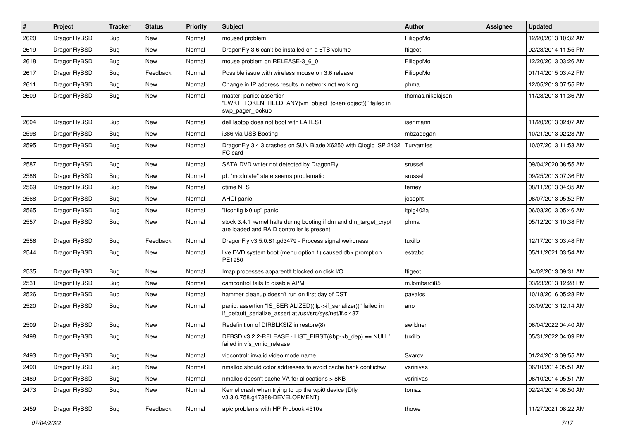| $\sharp$ | Project      | <b>Tracker</b> | <b>Status</b> | <b>Priority</b> | Subject                                                                                                                      | <b>Author</b>     | Assignee | <b>Updated</b>      |
|----------|--------------|----------------|---------------|-----------------|------------------------------------------------------------------------------------------------------------------------------|-------------------|----------|---------------------|
| 2620     | DragonFlyBSD | Bug            | <b>New</b>    | Normal          | moused problem                                                                                                               | FilippoMo         |          | 12/20/2013 10:32 AM |
| 2619     | DragonFlyBSD | Bug            | New           | Normal          | DragonFly 3.6 can't be installed on a 6TB volume                                                                             | ftigeot           |          | 02/23/2014 11:55 PM |
| 2618     | DragonFlyBSD | Bug            | New           | Normal          | mouse problem on RELEASE-3 6 0                                                                                               | FilippoMo         |          | 12/20/2013 03:26 AM |
| 2617     | DragonFlyBSD | Bug            | Feedback      | Normal          | Possible issue with wireless mouse on 3.6 release                                                                            | FilippoMo         |          | 01/14/2015 03:42 PM |
| 2611     | DragonFlyBSD | Bug            | New           | Normal          | Change in IP address results in network not working                                                                          | phma              |          | 12/05/2013 07:55 PM |
| 2609     | DragonFlyBSD | <b>Bug</b>     | New           | Normal          | master: panic: assertion<br>"LWKT_TOKEN_HELD_ANY(vm_object_token(object))" failed in<br>swp pager lookup                     | thomas.nikolajsen |          | 11/28/2013 11:36 AM |
| 2604     | DragonFlyBSD | Bug            | <b>New</b>    | Normal          | dell laptop does not boot with LATEST                                                                                        | isenmann          |          | 11/20/2013 02:07 AM |
| 2598     | DragonFlyBSD | Bug            | New           | Normal          | i386 via USB Booting                                                                                                         | mbzadegan         |          | 10/21/2013 02:28 AM |
| 2595     | DragonFlyBSD | Bug            | <b>New</b>    | Normal          | DragonFly 3.4.3 crashes on SUN Blade X6250 with Qlogic ISP 2432<br>FC card                                                   | Turvamies         |          | 10/07/2013 11:53 AM |
| 2587     | DragonFlyBSD | <b>Bug</b>     | <b>New</b>    | Normal          | SATA DVD writer not detected by DragonFly                                                                                    | srussell          |          | 09/04/2020 08:55 AM |
| 2586     | DragonFlyBSD | <b>Bug</b>     | New           | Normal          | pf: "modulate" state seems problematic                                                                                       | srussell          |          | 09/25/2013 07:36 PM |
| 2569     | DragonFlyBSD | <b>Bug</b>     | New           | Normal          | ctime NFS                                                                                                                    | ferney            |          | 08/11/2013 04:35 AM |
| 2568     | DragonFlyBSD | <b>Bug</b>     | New           | Normal          | AHCI panic                                                                                                                   | josepht           |          | 06/07/2013 05:52 PM |
| 2565     | DragonFlyBSD | <b>Bug</b>     | New           | Normal          | "ifconfig ix0 up" panic                                                                                                      | Itpig402a         |          | 06/03/2013 05:46 AM |
| 2557     | DragonFlyBSD | <b>Bug</b>     | New           | Normal          | stock 3.4.1 kernel halts during booting if dm and dm_target_crypt<br>are loaded and RAID controller is present               | phma              |          | 05/12/2013 10:38 PM |
| 2556     | DragonFlyBSD | <b>Bug</b>     | Feedback      | Normal          | DragonFly v3.5.0.81.gd3479 - Process signal weirdness                                                                        | tuxillo           |          | 12/17/2013 03:48 PM |
| 2544     | DragonFlyBSD | <b>Bug</b>     | New           | Normal          | live DVD system boot (menu option 1) caused db> prompt on<br>PE1950                                                          | estrabd           |          | 05/11/2021 03:54 AM |
| 2535     | DragonFlyBSD | <b>Bug</b>     | <b>New</b>    | Normal          | Imap processes apparentlt blocked on disk I/O                                                                                | ftigeot           |          | 04/02/2013 09:31 AM |
| 2531     | DragonFlyBSD | <b>Bug</b>     | New           | Normal          | camcontrol fails to disable APM                                                                                              | m.lombardi85      |          | 03/23/2013 12:28 PM |
| 2526     | DragonFlyBSD | <b>Bug</b>     | <b>New</b>    | Normal          | hammer cleanup doesn't run on first day of DST                                                                               | pavalos           |          | 10/18/2016 05:28 PM |
| 2520     | DragonFlyBSD | <b>Bug</b>     | New           | Normal          | panic: assertion "IS SERIALIZED((ifp->if serializer))" failed in<br>if_default_serialize_assert at /usr/src/sys/net/if.c:437 | ano               |          | 03/09/2013 12:14 AM |
| 2509     | DragonFlyBSD | <b>Bug</b>     | <b>New</b>    | Normal          | Redefinition of DIRBLKSIZ in restore(8)                                                                                      | swildner          |          | 06/04/2022 04:40 AM |
| 2498     | DragonFlyBSD | <b>Bug</b>     | New           | Normal          | DFBSD v3.2.2-RELEASE - LIST_FIRST(&bp->b_dep) == NULL"<br>failed in vfs vmio release                                         | tuxillo           |          | 05/31/2022 04:09 PM |
| 2493     | DragonFlyBSD | <b>Bug</b>     | New           | Normal          | vidcontrol: invalid video mode name                                                                                          | Svarov            |          | 01/24/2013 09:55 AM |
| 2490     | DragonFlyBSD | <b>Bug</b>     | <b>New</b>    | Normal          | nmalloc should color addresses to avoid cache bank conflictsw                                                                | vsrinivas         |          | 06/10/2014 05:51 AM |
| 2489     | DragonFlyBSD | <b>Bug</b>     | <b>New</b>    | Normal          | nmalloc doesn't cache VA for allocations > 8KB                                                                               | vsrinivas         |          | 06/10/2014 05:51 AM |
| 2473     | DragonFlyBSD | <b>Bug</b>     | New           | Normal          | Kernel crash when trying to up the wpi0 device (Dfly<br>v3.3.0.758.g47388-DEVELOPMENT)                                       | tomaz             |          | 02/24/2014 08:50 AM |
| 2459     | DragonFlyBSD | Bug            | Feedback      | Normal          | apic problems with HP Probook 4510s                                                                                          | thowe             |          | 11/27/2021 08:22 AM |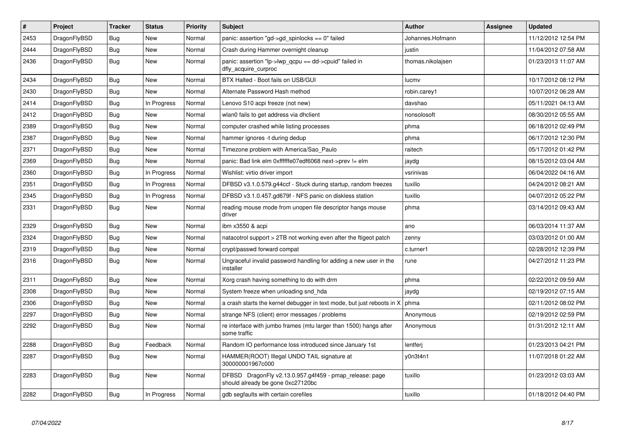| $\vert$ # | Project      | <b>Tracker</b> | <b>Status</b> | <b>Priority</b> | <b>Subject</b>                                                                               | <b>Author</b>     | Assignee | <b>Updated</b>      |
|-----------|--------------|----------------|---------------|-----------------|----------------------------------------------------------------------------------------------|-------------------|----------|---------------------|
| 2453      | DragonFlyBSD | Bug            | New           | Normal          | panic: assertion "gd->gd spinlocks == $0$ " failed                                           | Johannes.Hofmann  |          | 11/12/2012 12:54 PM |
| 2444      | DragonFlyBSD | <b>Bug</b>     | New           | Normal          | Crash during Hammer overnight cleanup                                                        | justin            |          | 11/04/2012 07:58 AM |
| 2436      | DragonFlyBSD | Bug            | New           | Normal          | panic: assertion "lp->lwp qcpu == dd->cpuid" failed in<br>dfly_acquire_curproc               | thomas.nikolajsen |          | 01/23/2013 11:07 AM |
| 2434      | DragonFlyBSD | Bug            | New           | Normal          | BTX Halted - Boot fails on USB/GUI                                                           | lucmv             |          | 10/17/2012 08:12 PM |
| 2430      | DragonFlyBSD | <b>Bug</b>     | <b>New</b>    | Normal          | Alternate Password Hash method                                                               | robin.carey1      |          | 10/07/2012 06:28 AM |
| 2414      | DragonFlyBSD | <b>Bug</b>     | In Progress   | Normal          | Lenovo S10 acpi freeze (not new)                                                             | davshao           |          | 05/11/2021 04:13 AM |
| 2412      | DragonFlyBSD | <b>Bug</b>     | New           | Normal          | wlan0 fails to get address via dhclient                                                      | nonsolosoft       |          | 08/30/2012 05:55 AM |
| 2389      | DragonFlyBSD | <b>Bug</b>     | <b>New</b>    | Normal          | computer crashed while listing processes                                                     | phma              |          | 06/18/2012 02:49 PM |
| 2387      | DragonFlyBSD | Bug            | New           | Normal          | hammer ignores -t during dedup                                                               | phma              |          | 06/17/2012 12:30 PM |
| 2371      | DragonFlyBSD | <b>Bug</b>     | New           | Normal          | Timezone problem with America/Sao_Paulo                                                      | raitech           |          | 05/17/2012 01:42 PM |
| 2369      | DragonFlyBSD | <b>Bug</b>     | New           | Normal          | panic: Bad link elm 0xffffffe07edf6068 next->prev != elm                                     | jaydg             |          | 08/15/2012 03:04 AM |
| 2360      | DragonFlyBSD | Bug            | In Progress   | Normal          | Wishlist: virtio driver import                                                               | vsrinivas         |          | 06/04/2022 04:16 AM |
| 2351      | DragonFlyBSD | <b>Bug</b>     | In Progress   | Normal          | DFBSD v3.1.0.579.g44ccf - Stuck during startup, random freezes                               | tuxillo           |          | 04/24/2012 08:21 AM |
| 2345      | DragonFlyBSD | <b>Bug</b>     | In Progress   | Normal          | DFBSD v3.1.0.457.gd679f - NFS panic on diskless station                                      | tuxillo           |          | 04/07/2012 05:22 PM |
| 2331      | DragonFlyBSD | <b>Bug</b>     | New           | Normal          | reading mouse mode from unopen file descriptor hangs mouse<br>driver                         | phma              |          | 03/14/2012 09:43 AM |
| 2329      | DragonFlyBSD | <b>Bug</b>     | New           | Normal          | ibm x3550 & acpi                                                                             | ano               |          | 06/03/2014 11:37 AM |
| 2324      | DragonFlyBSD | <b>Bug</b>     | <b>New</b>    | Normal          | natacotrol support > 2TB not working even after the ftigeot patch                            | zenny             |          | 03/03/2012 01:00 AM |
| 2319      | DragonFlyBSD | <b>Bug</b>     | New           | Normal          | crypt/passwd forward compat                                                                  | c.turner1         |          | 02/28/2012 12:39 PM |
| 2316      | DragonFlyBSD | <b>Bug</b>     | New           | Normal          | Ungraceful invalid password handling for adding a new user in the<br>installer               | rune              |          | 04/27/2012 11:23 PM |
| 2311      | DragonFlyBSD | Bug            | <b>New</b>    | Normal          | Xorg crash having something to do with drm                                                   | phma              |          | 02/22/2012 09:59 AM |
| 2308      | DragonFlyBSD | <b>Bug</b>     | New           | Normal          | System freeze when unloading snd_hda                                                         | jaydg             |          | 02/19/2012 07:15 AM |
| 2306      | DragonFlyBSD | <b>Bug</b>     | <b>New</b>    | Normal          | a crash starts the kernel debugger in text mode, but just reboots in X                       | phma              |          | 02/11/2012 08:02 PM |
| 2297      | DragonFlyBSD | Bug            | <b>New</b>    | Normal          | strange NFS (client) error messages / problems                                               | Anonymous         |          | 02/19/2012 02:59 PM |
| 2292      | DragonFlyBSD | <b>Bug</b>     | New           | Normal          | re interface with jumbo frames (mtu larger than 1500) hangs after<br>some traffic            | Anonymous         |          | 01/31/2012 12:11 AM |
| 2288      | DragonFlyBSD | <b>Bug</b>     | Feedback      | Normal          | Random IO performance loss introduced since January 1st                                      | lentferj          |          | 01/23/2013 04:21 PM |
| 2287      | DragonFlyBSD | Bug            | <b>New</b>    | Normal          | HAMMER(ROOT) Illegal UNDO TAIL signature at<br>300000001967c000                              | y0n3t4n1          |          | 11/07/2018 01:22 AM |
| 2283      | DragonFlyBSD | <b>Bug</b>     | New           | Normal          | DFBSD DragonFly v2.13.0.957.g4f459 - pmap_release: page<br>should already be gone 0xc27120bc | tuxillo           |          | 01/23/2012 03:03 AM |
| 2282      | DragonFlyBSD | Bug            | In Progress   | Normal          | gdb segfaults with certain corefiles                                                         | tuxillo           |          | 01/18/2012 04:40 PM |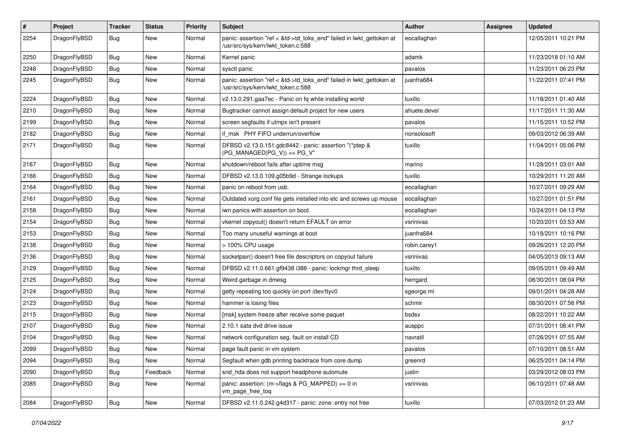| $\pmb{\#}$ | Project      | <b>Tracker</b> | <b>Status</b> | <b>Priority</b> | Subject                                                                                                    | Author       | Assignee | <b>Updated</b>      |
|------------|--------------|----------------|---------------|-----------------|------------------------------------------------------------------------------------------------------------|--------------|----------|---------------------|
| 2254       | DragonFlyBSD | Bug            | New           | Normal          | panic: assertion "ref < &td->td_toks_end" failed in lwkt_gettoken at<br>/usr/src/sys/kern/lwkt_token.c:588 | eocallaghan  |          | 12/05/2011 10:21 PM |
| 2250       | DragonFlyBSD | <b>Bug</b>     | New           | Normal          | Kernel panic                                                                                               | adamk        |          | 11/23/2018 01:10 AM |
| 2248       | DragonFlyBSD | Bug            | New           | Normal          | sysctl panic                                                                                               | pavalos      |          | 11/23/2011 06:23 PM |
| 2245       | DragonFlyBSD | Bug            | New           | Normal          | panic: assertion "ref < &td->td_toks_end" failed in lwkt_gettoken at<br>/usr/src/sys/kern/lwkt token.c:588 | juanfra684   |          | 11/22/2011 07:41 PM |
| 2224       | DragonFlyBSD | Bug            | <b>New</b>    | Normal          | v2.13.0.291.gaa7ec - Panic on fq while installing world                                                    | tuxillo      |          | 11/18/2011 01:40 AM |
| 2210       | DragonFlyBSD | <b>Bug</b>     | New           | Normal          | Bugtracker cannot assign default project for new users                                                     | ahuete.devel |          | 11/17/2011 11:30 AM |
| 2199       | DragonFlyBSD | Bug            | New           | Normal          | screen segfaults if utmpx isn't present                                                                    | pavalos      |          | 11/15/2011 10:52 PM |
| 2182       | DragonFlyBSD | <b>Bug</b>     | <b>New</b>    | Normal          | if msk PHY FIFO underrun/overflow                                                                          | nonsolosoft  |          | 09/03/2012 06:39 AM |
| 2171       | DragonFlyBSD | Bug            | New           | Normal          | DFBSD v2.13.0.151.gdc8442 - panic: assertion "(*ptep &<br>$(PG_MANAGED PG_V)) == PG_V"$                    | tuxillo      |          | 11/04/2011 05:06 PM |
| 2167       | DragonFlyBSD | <b>Bug</b>     | <b>New</b>    | Normal          | shutdown/reboot fails after uptime msg                                                                     | marino       |          | 11/28/2011 03:01 AM |
| 2166       | DragonFlyBSD | <b>Bug</b>     | New           | Normal          | DFBSD v2.13.0.109.g05b9d - Strange lockups                                                                 | tuxillo      |          | 10/29/2011 11:20 AM |
| 2164       | DragonFlyBSD | Bug            | New           | Normal          | panic on reboot from usb.                                                                                  | eocallaghan  |          | 10/27/2011 09:29 AM |
| 2161       | DragonFlyBSD | <b>Bug</b>     | New           | Normal          | Outdated xorg.conf file gets installed into etc and screws up mouse                                        | eocallaghan  |          | 10/27/2011 01:51 PM |
| 2158       | DragonFlyBSD | Bug            | New           | Normal          | iwn panics with assertion on boot.                                                                         | eocallaghan  |          | 10/24/2011 04:13 PM |
| 2154       | DragonFlyBSD | <b>Bug</b>     | New           | Normal          | vkernel copyout() doesn't return EFAULT on error                                                           | vsrinivas    |          | 10/20/2011 03:53 AM |
| 2153       | DragonFlyBSD | Bug            | New           | Normal          | Too many unuseful warnings at boot                                                                         | juanfra684   |          | 10/18/2011 10:16 PM |
| 2138       | DragonFlyBSD | Bug            | <b>New</b>    | Normal          | > 100% CPU usage                                                                                           | robin.carey1 |          | 09/26/2011 12:20 PM |
| 2136       | DragonFlyBSD | Bug            | New           | Normal          | socketpair() doesn't free file descriptors on copyout failure                                              | vsrinivas    |          | 04/05/2013 09:13 AM |
| 2129       | DragonFlyBSD | Bug            | New           | Normal          | DFBSD v2.11.0.661.gf9438 i386 - panic: lockmgr thrd_sleep                                                  | tuxillo      |          | 09/05/2011 09:49 AM |
| 2125       | DragonFlyBSD | <b>Bug</b>     | New           | Normal          | Weird garbage in dmesg                                                                                     | herrgard     |          | 08/30/2011 08:04 PM |
| 2124       | DragonFlyBSD | Bug            | New           | Normal          | getty repeating too quickly on port /dev/ttyv0                                                             | sgeorge.ml   |          | 09/01/2011 04:28 AM |
| 2123       | DragonFlyBSD | Bug            | New           | Normal          | hammer is losing files                                                                                     | schmir       |          | 08/30/2011 07:56 PM |
| 2115       | DragonFlyBSD | Bug            | New           | Normal          | [msk] system freeze after receive some paquet                                                              | bsdsx        |          | 08/22/2011 10:22 AM |
| 2107       | DragonFlyBSD | <b>Bug</b>     | New           | Normal          | 2.10.1 sata dvd drive issue                                                                                | ausppc       |          | 07/31/2011 08:41 PM |
| 2104       | DragonFlyBSD | <b>Bug</b>     | New           | Normal          | network configuration seg. fault on install CD                                                             | navratil     |          | 07/26/2011 07:55 AM |
| 2099       | DragonFlyBSD | Bug            | New           | Normal          | page fault panic in vm system                                                                              | pavalos      |          | 07/10/2011 08:51 AM |
| 2094       | DragonFlyBSD | Bug            | New           | Normal          | Segfault when gdb printing backtrace from core dump                                                        | greenrd      |          | 06/25/2011 04:14 PM |
| 2090       | DragonFlyBSD | Bug            | Feedback      | Normal          | snd_hda does not support headphone automute                                                                | justin       |          | 03/29/2012 08:03 PM |
| 2085       | DragonFlyBSD | <b>Bug</b>     | New           | Normal          | panic: assertion: (m->flags & PG_MAPPED) == $0$ in<br>vm_page_free_toq                                     | vsrinivas    |          | 06/10/2011 07:48 AM |
| 2084       | DragonFlyBSD | <b>Bug</b>     | New           | Normal          | DFBSD v2.11.0.242.g4d317 - panic: zone: entry not free                                                     | tuxillo      |          | 07/03/2012 01:23 AM |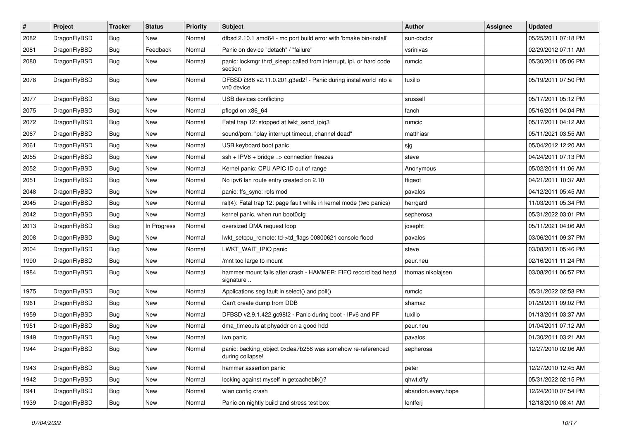| $\sharp$ | Project      | <b>Tracker</b> | <b>Status</b> | <b>Priority</b> | Subject                                                                        | <b>Author</b>      | <b>Assignee</b> | <b>Updated</b>      |
|----------|--------------|----------------|---------------|-----------------|--------------------------------------------------------------------------------|--------------------|-----------------|---------------------|
| 2082     | DragonFlyBSD | <b>Bug</b>     | New           | Normal          | dfbsd 2.10.1 amd64 - mc port build error with 'bmake bin-install'              | sun-doctor         |                 | 05/25/2011 07:18 PM |
| 2081     | DragonFlyBSD | <b>Bug</b>     | Feedback      | Normal          | Panic on device "detach" / "failure"                                           | vsrinivas          |                 | 02/29/2012 07:11 AM |
| 2080     | DragonFlyBSD | <b>Bug</b>     | New           | Normal          | panic: lockmgr thrd_sleep: called from interrupt, ipi, or hard code<br>section | rumcic             |                 | 05/30/2011 05:06 PM |
| 2078     | DragonFlyBSD | <b>Bug</b>     | New           | Normal          | DFBSD i386 v2.11.0.201.g3ed2f - Panic during installworld into a<br>vn0 device | tuxillo            |                 | 05/19/2011 07:50 PM |
| 2077     | DragonFlyBSD | <b>Bug</b>     | New           | Normal          | USB devices conflicting                                                        | srussell           |                 | 05/17/2011 05:12 PM |
| 2075     | DragonFlyBSD | <b>Bug</b>     | <b>New</b>    | Normal          | pflogd on x86 64                                                               | fanch              |                 | 05/16/2011 04:04 PM |
| 2072     | DragonFlyBSD | <b>Bug</b>     | New           | Normal          | Fatal trap 12: stopped at lwkt_send_ipiq3                                      | rumcic             |                 | 05/17/2011 04:12 AM |
| 2067     | DragonFlyBSD | <b>Bug</b>     | <b>New</b>    | Normal          | sound/pcm: "play interrupt timeout, channel dead"                              | matthiasr          |                 | 05/11/2021 03:55 AM |
| 2061     | DragonFlyBSD | <b>Bug</b>     | New           | Normal          | USB keyboard boot panic                                                        | sjg                |                 | 05/04/2012 12:20 AM |
| 2055     | DragonFlyBSD | <b>Bug</b>     | <b>New</b>    | Normal          | $ssh + IPV6 + bridge \Rightarrow$ connection freezes                           | steve              |                 | 04/24/2011 07:13 PM |
| 2052     | DragonFlyBSD | <b>Bug</b>     | New           | Normal          | Kernel panic: CPU APIC ID out of range                                         | Anonymous          |                 | 05/02/2011 11:06 AM |
| 2051     | DragonFlyBSD | <b>Bug</b>     | <b>New</b>    | Normal          | No ipv6 lan route entry created on 2.10                                        | ftigeot            |                 | 04/21/2011 10:37 AM |
| 2048     | DragonFlyBSD | Bug            | <b>New</b>    | Normal          | panic: ffs_sync: rofs mod                                                      | pavalos            |                 | 04/12/2011 05:45 AM |
| 2045     | DragonFlyBSD | <b>Bug</b>     | <b>New</b>    | Normal          | ral(4): Fatal trap 12: page fault while in kernel mode (two panics)            | herrgard           |                 | 11/03/2011 05:34 PM |
| 2042     | DragonFlyBSD | <b>Bug</b>     | New           | Normal          | kernel panic, when run boot0cfg                                                | sepherosa          |                 | 05/31/2022 03:01 PM |
| 2013     | DragonFlyBSD | <b>Bug</b>     | In Progress   | Normal          | oversized DMA request loop                                                     | josepht            |                 | 05/11/2021 04:06 AM |
| 2008     | DragonFlyBSD | <b>Bug</b>     | <b>New</b>    | Normal          | lwkt_setcpu_remote: td->td_flags 00800621 console flood                        | pavalos            |                 | 03/06/2011 09:37 PM |
| 2004     | DragonFlyBSD | <b>Bug</b>     | New           | Normal          | LWKT WAIT IPIQ panic                                                           | steve              |                 | 03/08/2011 05:46 PM |
| 1990     | DragonFlyBSD | <b>Bug</b>     | <b>New</b>    | Normal          | /mnt too large to mount                                                        | peur.neu           |                 | 02/16/2011 11:24 PM |
| 1984     | DragonFlyBSD | <b>Bug</b>     | New           | Normal          | hammer mount fails after crash - HAMMER: FIFO record bad head<br>signature     | thomas.nikolajsen  |                 | 03/08/2011 06:57 PM |
| 1975     | DragonFlyBSD | <b>Bug</b>     | <b>New</b>    | Normal          | Applications seg fault in select() and poll()                                  | rumcic             |                 | 05/31/2022 02:58 PM |
| 1961     | DragonFlyBSD | <b>Bug</b>     | New           | Normal          | Can't create dump from DDB                                                     | shamaz             |                 | 01/29/2011 09:02 PM |
| 1959     | DragonFlyBSD | <b>Bug</b>     | New           | Normal          | DFBSD v2.9.1.422.gc98f2 - Panic during boot - IPv6 and PF                      | tuxillo            |                 | 01/13/2011 03:37 AM |
| 1951     | DragonFlyBSD | <b>Bug</b>     | <b>New</b>    | Normal          | dma_timeouts at phyaddr on a good hdd                                          | peur.neu           |                 | 01/04/2011 07:12 AM |
| 1949     | DragonFlyBSD | <b>Bug</b>     | New           | Normal          | iwn panic                                                                      | pavalos            |                 | 01/30/2011 03:21 AM |
| 1944     | DragonFlyBSD | Bug            | <b>New</b>    | Normal          | panic: backing_object 0xdea7b258 was somehow re-referenced<br>during collapse! | sepherosa          |                 | 12/27/2010 02:06 AM |
| 1943     | DragonFlyBSD | <b>Bug</b>     | <b>New</b>    | Normal          | hammer assertion panic                                                         | peter              |                 | 12/27/2010 12:45 AM |
| 1942     | DragonFlyBSD | <b>Bug</b>     | New           | Normal          | locking against myself in getcacheblk()?                                       | qhwt.dfly          |                 | 05/31/2022 02:15 PM |
| 1941     | DragonFlyBSD | <b>Bug</b>     | New           | Normal          | wlan config crash                                                              | abandon.every.hope |                 | 12/24/2010 07:54 PM |
| 1939     | DragonFlyBSD | <b>Bug</b>     | New           | Normal          | Panic on nightly build and stress test box                                     | lentferj           |                 | 12/18/2010 08:41 AM |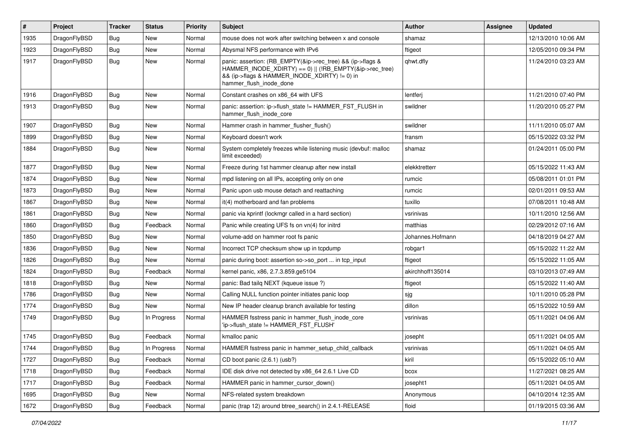| #    | Project      | <b>Tracker</b> | <b>Status</b> | <b>Priority</b> | Subject                                                                                                                                                                                           | <b>Author</b>    | Assignee | <b>Updated</b>      |
|------|--------------|----------------|---------------|-----------------|---------------------------------------------------------------------------------------------------------------------------------------------------------------------------------------------------|------------------|----------|---------------------|
| 1935 | DragonFlyBSD | Bug            | <b>New</b>    | Normal          | mouse does not work after switching between x and console                                                                                                                                         | shamaz           |          | 12/13/2010 10:06 AM |
| 1923 | DragonFlyBSD | <b>Bug</b>     | New           | Normal          | Abysmal NFS performance with IPv6                                                                                                                                                                 | ftigeot          |          | 12/05/2010 09:34 PM |
| 1917 | DragonFlyBSD | <b>Bug</b>     | New           | Normal          | panic: assertion: (RB EMPTY(&ip->rec tree) && (ip->flags &<br>HAMMER_INODE_XDIRTY) == 0)    (!RB_EMPTY(&ip->rec_tree)<br>&& (ip->flags & HAMMER_INODE_XDIRTY) != 0) in<br>hammer flush inode done | qhwt.dfly        |          | 11/24/2010 03:23 AM |
| 1916 | DragonFlyBSD | <b>Bug</b>     | <b>New</b>    | Normal          | Constant crashes on x86_64 with UFS                                                                                                                                                               | lentferj         |          | 11/21/2010 07:40 PM |
| 1913 | DragonFlyBSD | <b>Bug</b>     | New           | Normal          | panic: assertion: ip->flush state != HAMMER FST FLUSH in<br>hammer_flush_inode_core                                                                                                               | swildner         |          | 11/20/2010 05:27 PM |
| 1907 | DragonFlyBSD | <b>Bug</b>     | <b>New</b>    | Normal          | Hammer crash in hammer flusher flush()                                                                                                                                                            | swildner         |          | 11/11/2010 05:07 AM |
| 1899 | DragonFlyBSD | Bug            | New           | Normal          | Keyboard doesn't work                                                                                                                                                                             | fransm           |          | 05/15/2022 03:32 PM |
| 1884 | DragonFlyBSD | Bug            | New           | Normal          | System completely freezes while listening music (devbuf: malloc<br>limit exceeded)                                                                                                                | shamaz           |          | 01/24/2011 05:00 PM |
| 1877 | DragonFlyBSD | Bug            | New           | Normal          | Freeze during 1st hammer cleanup after new install                                                                                                                                                | elekktretterr    |          | 05/15/2022 11:43 AM |
| 1874 | DragonFlyBSD | <b>Bug</b>     | New           | Normal          | mpd listening on all IPs, accepting only on one                                                                                                                                                   | rumcic           |          | 05/08/2011 01:01 PM |
| 1873 | DragonFlyBSD | Bug            | New           | Normal          | Panic upon usb mouse detach and reattaching                                                                                                                                                       | rumcic           |          | 02/01/2011 09:53 AM |
| 1867 | DragonFlyBSD | <b>Bug</b>     | New           | Normal          | it(4) motherboard and fan problems                                                                                                                                                                | tuxillo          |          | 07/08/2011 10:48 AM |
| 1861 | DragonFlyBSD | <b>Bug</b>     | New           | Normal          | panic via kprintf (lockmgr called in a hard section)                                                                                                                                              | vsrinivas        |          | 10/11/2010 12:56 AM |
| 1860 | DragonFlyBSD | Bug            | Feedback      | Normal          | Panic while creating UFS fs on vn(4) for initrd                                                                                                                                                   | matthias         |          | 02/29/2012 07:16 AM |
| 1850 | DragonFlyBSD | <b>Bug</b>     | New           | Normal          | volume-add on hammer root fs panic                                                                                                                                                                | Johannes.Hofmann |          | 04/18/2019 04:27 AM |
| 1836 | DragonFlyBSD | Bug            | New           | Normal          | Incorrect TCP checksum show up in tcpdump                                                                                                                                                         | robgar1          |          | 05/15/2022 11:22 AM |
| 1826 | DragonFlyBSD | <b>Bug</b>     | New           | Normal          | panic during boot: assertion so->so_port  in tcp_input                                                                                                                                            | ftigeot          |          | 05/15/2022 11:05 AM |
| 1824 | DragonFlyBSD | <b>Bug</b>     | Feedback      | Normal          | kernel panic, x86, 2.7.3.859.ge5104                                                                                                                                                               | akirchhoff135014 |          | 03/10/2013 07:49 AM |
| 1818 | DragonFlyBSD | Bug            | New           | Normal          | panic: Bad tailq NEXT (kqueue issue ?)                                                                                                                                                            | ftigeot          |          | 05/15/2022 11:40 AM |
| 1786 | DragonFlyBSD | Bug            | New           | Normal          | Calling NULL function pointer initiates panic loop                                                                                                                                                | sjg              |          | 10/11/2010 05:28 PM |
| 1774 | DragonFlyBSD | <b>Bug</b>     | New           | Normal          | New IP header cleanup branch available for testing                                                                                                                                                | dillon           |          | 05/15/2022 10:59 AM |
| 1749 | DragonFlyBSD | Bug            | In Progress   | Normal          | HAMMER fsstress panic in hammer_flush_inode_core<br>'ip->flush_state != HAMMER_FST_FLUSH'                                                                                                         | vsrinivas        |          | 05/11/2021 04:06 AM |
| 1745 | DragonFlyBSD | <b>Bug</b>     | Feedback      | Normal          | kmalloc panic                                                                                                                                                                                     | josepht          |          | 05/11/2021 04:05 AM |
| 1744 | DragonFlyBSD | <b>Bug</b>     | In Progress   | Normal          | HAMMER fsstress panic in hammer_setup_child_callback                                                                                                                                              | vsrinivas        |          | 05/11/2021 04:05 AM |
| 1727 | DragonFlyBSD | Bug            | Feedback      | Normal          | CD boot panic (2.6.1) (usb?)                                                                                                                                                                      | kiril            |          | 05/15/2022 05:10 AM |
| 1718 | DragonFlyBSD | <b>Bug</b>     | Feedback      | Normal          | IDE disk drive not detected by x86_64 2.6.1 Live CD                                                                                                                                               | bcox             |          | 11/27/2021 08:25 AM |
| 1717 | DragonFlyBSD | Bug            | Feedback      | Normal          | HAMMER panic in hammer cursor down()                                                                                                                                                              | josepht1         |          | 05/11/2021 04:05 AM |
| 1695 | DragonFlyBSD | <b>Bug</b>     | New           | Normal          | NFS-related system breakdown                                                                                                                                                                      | Anonymous        |          | 04/10/2014 12:35 AM |
| 1672 | DragonFlyBSD | Bug            | Feedback      | Normal          | panic (trap 12) around btree_search() in 2.4.1-RELEASE                                                                                                                                            | floid            |          | 01/19/2015 03:36 AM |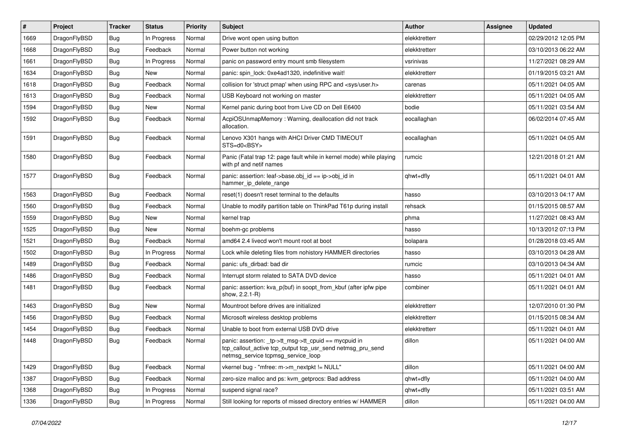| $\vert$ # | Project      | <b>Tracker</b> | <b>Status</b> | <b>Priority</b> | <b>Subject</b>                                                                                                                                            | <b>Author</b> | Assignee | <b>Updated</b>      |
|-----------|--------------|----------------|---------------|-----------------|-----------------------------------------------------------------------------------------------------------------------------------------------------------|---------------|----------|---------------------|
| 1669      | DragonFlyBSD | <b>Bug</b>     | In Progress   | Normal          | Drive wont open using button                                                                                                                              | elekktretterr |          | 02/29/2012 12:05 PM |
| 1668      | DragonFlyBSD | <b>Bug</b>     | Feedback      | Normal          | Power button not working                                                                                                                                  | elekktretterr |          | 03/10/2013 06:22 AM |
| 1661      | DragonFlyBSD | <b>Bug</b>     | In Progress   | Normal          | panic on password entry mount smb filesystem                                                                                                              | vsrinivas     |          | 11/27/2021 08:29 AM |
| 1634      | DragonFlyBSD | Bug            | New           | Normal          | panic: spin lock: 0xe4ad1320, indefinitive wait!                                                                                                          | elekktretterr |          | 01/19/2015 03:21 AM |
| 1618      | DragonFlyBSD | <b>Bug</b>     | Feedback      | Normal          | collision for 'struct pmap' when using RPC and <sys user.h=""></sys>                                                                                      | carenas       |          | 05/11/2021 04:05 AM |
| 1613      | DragonFlyBSD | <b>Bug</b>     | Feedback      | Normal          | USB Keyboard not working on master                                                                                                                        | elekktretterr |          | 05/11/2021 04:05 AM |
| 1594      | DragonFlyBSD | <b>Bug</b>     | <b>New</b>    | Normal          | Kernel panic during boot from Live CD on Dell E6400                                                                                                       | bodie         |          | 05/11/2021 03:54 AM |
| 1592      | DragonFlyBSD | Bug            | Feedback      | Normal          | AcpiOSUnmapMemory: Warning, deallocation did not track<br>allocation.                                                                                     | eocallaghan   |          | 06/02/2014 07:45 AM |
| 1591      | DragonFlyBSD | Bug            | Feedback      | Normal          | Lenovo X301 hangs with AHCI Driver CMD TIMEOUT<br>STS=d0 <bsy></bsy>                                                                                      | eocallaghan   |          | 05/11/2021 04:05 AM |
| 1580      | DragonFlyBSD | <b>Bug</b>     | Feedback      | Normal          | Panic (Fatal trap 12: page fault while in kernel mode) while playing<br>with pf and netif names                                                           | rumcic        |          | 12/21/2018 01:21 AM |
| 1577      | DragonFlyBSD | <b>Bug</b>     | Feedback      | Normal          | panic: assertion: leaf->base.obj_id == ip->obj_id in<br>hammer_ip_delete_range                                                                            | qhwt+dfly     |          | 05/11/2021 04:01 AM |
| 1563      | DragonFlyBSD | <b>Bug</b>     | Feedback      | Normal          | reset(1) doesn't reset terminal to the defaults                                                                                                           | hasso         |          | 03/10/2013 04:17 AM |
| 1560      | DragonFlyBSD | <b>Bug</b>     | Feedback      | Normal          | Unable to modify partition table on ThinkPad T61p during install                                                                                          | rehsack       |          | 01/15/2015 08:57 AM |
| 1559      | DragonFlyBSD | <b>Bug</b>     | <b>New</b>    | Normal          | kernel trap                                                                                                                                               | phma          |          | 11/27/2021 08:43 AM |
| 1525      | DragonFlyBSD | <b>Bug</b>     | <b>New</b>    | Normal          | boehm-gc problems                                                                                                                                         | hasso         |          | 10/13/2012 07:13 PM |
| 1521      | DragonFlyBSD | <b>Bug</b>     | Feedback      | Normal          | amd64 2.4 livecd won't mount root at boot                                                                                                                 | bolapara      |          | 01/28/2018 03:45 AM |
| 1502      | DragonFlyBSD | <b>Bug</b>     | In Progress   | Normal          | Lock while deleting files from nohistory HAMMER directories                                                                                               | hasso         |          | 03/10/2013 04:28 AM |
| 1489      | DragonFlyBSD | <b>Bug</b>     | Feedback      | Normal          | panic: ufs dirbad: bad dir                                                                                                                                | rumcic        |          | 03/10/2013 04:34 AM |
| 1486      | DragonFlyBSD | Bug            | Feedback      | Normal          | Interrupt storm related to SATA DVD device                                                                                                                | hasso         |          | 05/11/2021 04:01 AM |
| 1481      | DragonFlyBSD | Bug            | Feedback      | Normal          | panic: assertion: kva_p(buf) in soopt_from_kbuf (after ipfw pipe<br>show, 2.2.1-R)                                                                        | combiner      |          | 05/11/2021 04:01 AM |
| 1463      | DragonFlyBSD | Bug            | New           | Normal          | Mountroot before drives are initialized                                                                                                                   | elekktretterr |          | 12/07/2010 01:30 PM |
| 1456      | DragonFlyBSD | <b>Bug</b>     | Feedback      | Normal          | Microsoft wireless desktop problems                                                                                                                       | elekktretterr |          | 01/15/2015 08:34 AM |
| 1454      | DragonFlyBSD | <b>Bug</b>     | Feedback      | Normal          | Unable to boot from external USB DVD drive                                                                                                                | elekktretterr |          | 05/11/2021 04:01 AM |
| 1448      | DragonFlyBSD | <b>Bug</b>     | Feedback      | Normal          | panic: assertion: _tp->tt_msg->tt_cpuid == mycpuid in<br>tcp_callout_active tcp_output tcp_usr_send netmsg_pru_send<br>netmsg_service tcpmsg_service_loop | dillon        |          | 05/11/2021 04:00 AM |
| 1429      | DragonFlyBSD | Bug            | Feedback      | Normal          | vkernel bug - "mfree: m->m_nextpkt != NULL"                                                                                                               | dillon        |          | 05/11/2021 04:00 AM |
| 1387      | DragonFlyBSD | <b>Bug</b>     | Feedback      | Normal          | zero-size malloc and ps: kvm_getprocs: Bad address                                                                                                        | qhwt+dfly     |          | 05/11/2021 04:00 AM |
| 1368      | DragonFlyBSD | Bug            | In Progress   | Normal          | suspend signal race?                                                                                                                                      | qhwt+dfly     |          | 05/11/2021 03:51 AM |
| 1336      | DragonFlyBSD | <b>Bug</b>     | In Progress   | Normal          | Still looking for reports of missed directory entries w/ HAMMER                                                                                           | dillon        |          | 05/11/2021 04:00 AM |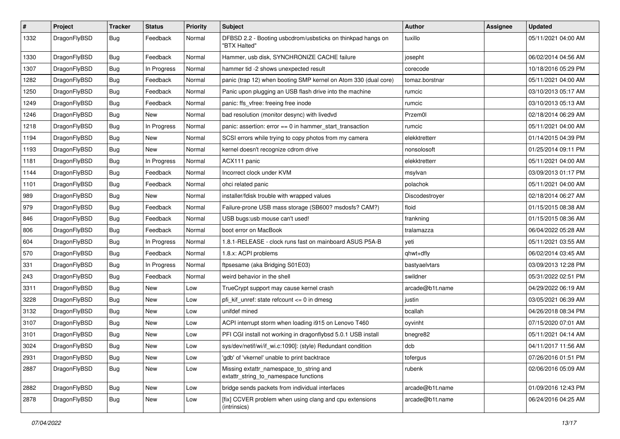| $\vert$ # | Project      | <b>Tracker</b> | <b>Status</b> | <b>Priority</b> | Subject                                                                          | Author          | Assignee | <b>Updated</b>      |
|-----------|--------------|----------------|---------------|-----------------|----------------------------------------------------------------------------------|-----------------|----------|---------------------|
| 1332      | DragonFlyBSD | <b>Bug</b>     | Feedback      | Normal          | DFBSD 2.2 - Booting usbcdrom/usbsticks on thinkpad hangs on<br>"BTX Halted"      | tuxillo         |          | 05/11/2021 04:00 AM |
| 1330      | DragonFlyBSD | <b>Bug</b>     | Feedback      | Normal          | Hammer, usb disk, SYNCHRONIZE CACHE failure                                      | josepht         |          | 06/02/2014 04:56 AM |
| 1307      | DragonFlyBSD | Bug            | In Progress   | Normal          | hammer tid -2 shows unexpected result                                            | corecode        |          | 10/18/2016 05:29 PM |
| 1282      | DragonFlyBSD | <b>Bug</b>     | Feedback      | Normal          | panic (trap 12) when booting SMP kernel on Atom 330 (dual core)                  | tomaz.borstnar  |          | 05/11/2021 04:00 AM |
| 1250      | DragonFlyBSD | <b>Bug</b>     | Feedback      | Normal          | Panic upon plugging an USB flash drive into the machine                          | rumcic          |          | 03/10/2013 05:17 AM |
| 1249      | DragonFlyBSD | Bug            | Feedback      | Normal          | panic: ffs_vfree: freeing free inode                                             | rumcic          |          | 03/10/2013 05:13 AM |
| 1246      | DragonFlyBSD | <b>Bug</b>     | New           | Normal          | bad resolution (monitor desync) with livedvd                                     | Przem0l         |          | 02/18/2014 06:29 AM |
| 1218      | DragonFlyBSD | <b>Bug</b>     | In Progress   | Normal          | panic: assertion: error == 0 in hammer_start_transaction                         | rumcic          |          | 05/11/2021 04:00 AM |
| 1194      | DragonFlyBSD | <b>Bug</b>     | <b>New</b>    | Normal          | SCSI errors while trying to copy photos from my camera                           | elekktretterr   |          | 01/14/2015 04:39 PM |
| 1193      | DragonFlyBSD | <b>Bug</b>     | New           | Normal          | kernel doesn't recognize cdrom drive                                             | nonsolosoft     |          | 01/25/2014 09:11 PM |
| 1181      | DragonFlyBSD | Bug            | In Progress   | Normal          | ACX111 panic                                                                     | elekktretterr   |          | 05/11/2021 04:00 AM |
| 1144      | DragonFlyBSD | Bug            | Feedback      | Normal          | Incorrect clock under KVM                                                        | msylvan         |          | 03/09/2013 01:17 PM |
| 1101      | DragonFlyBSD | <b>Bug</b>     | Feedback      | Normal          | ohci related panic                                                               | polachok        |          | 05/11/2021 04:00 AM |
| 989       | DragonFlyBSD | <b>Bug</b>     | New           | Normal          | installer/fdisk trouble with wrapped values                                      | Discodestroyer  |          | 02/18/2014 06:27 AM |
| 979       | DragonFlyBSD | <b>Bug</b>     | Feedback      | Normal          | Failure-prone USB mass storage (SB600? msdosfs? CAM?)                            | floid           |          | 01/15/2015 08:38 AM |
| 846       | DragonFlyBSD | Bug            | Feedback      | Normal          | USB bugs:usb mouse can't used!                                                   | frankning       |          | 01/15/2015 08:36 AM |
| 806       | DragonFlyBSD | <b>Bug</b>     | Feedback      | Normal          | boot error on MacBook                                                            | tralamazza      |          | 06/04/2022 05:28 AM |
| 604       | DragonFlyBSD | <b>Bug</b>     | In Progress   | Normal          | 1.8.1-RELEASE - clock runs fast on mainboard ASUS P5A-B                          | yeti            |          | 05/11/2021 03:55 AM |
| 570       | DragonFlyBSD | <b>Bug</b>     | Feedback      | Normal          | 1.8.x: ACPI problems                                                             | qhwt+dfly       |          | 06/02/2014 03:45 AM |
| 331       | DragonFlyBSD | <b>Bug</b>     | In Progress   | Normal          | ftpsesame (aka Bridging S01E03)                                                  | bastyaelvtars   |          | 03/09/2013 12:28 PM |
| 243       | DragonFlyBSD | Bug            | Feedback      | Normal          | weird behavior in the shell                                                      | swildner        |          | 05/31/2022 02:51 PM |
| 3311      | DragonFlyBSD | <b>Bug</b>     | <b>New</b>    | Low             | TrueCrypt support may cause kernel crash                                         | arcade@b1t.name |          | 04/29/2022 06:19 AM |
| 3228      | DragonFlyBSD | Bug            | New           | Low             | pfi_kif_unref: state refcount <= 0 in dmesg                                      | justin          |          | 03/05/2021 06:39 AM |
| 3132      | DragonFlyBSD | Bug            | <b>New</b>    | Low             | unifdef mined                                                                    | bcallah         |          | 04/26/2018 08:34 PM |
| 3107      | DragonFlyBSD | Bug            | New           | Low             | ACPI interrupt storm when loading i915 on Lenovo T460                            | oyvinht         |          | 07/15/2020 07:01 AM |
| 3101      | DragonFlyBSD | <b>Bug</b>     | New           | Low             | PFI CGI install not working in dragonflybsd 5.0.1 USB install                    | bnegre82        |          | 05/11/2021 04:14 AM |
| 3024      | DragonFlyBSD | <b>Bug</b>     | New           | Low             | sys/dev/netif/wi/if_wi.c:1090]: (style) Redundant condition                      | dcb             |          | 04/11/2017 11:56 AM |
| 2931      | DragonFlyBSD | <b>Bug</b>     | New           | Low             | 'gdb' of 'vkernel' unable to print backtrace                                     | tofergus        |          | 07/26/2016 01:51 PM |
| 2887      | DragonFlyBSD | <b>Bug</b>     | New           | Low             | Missing extattr_namespace_to_string and<br>extattr_string_to_namespace functions | rubenk          |          | 02/06/2016 05:09 AM |
| 2882      | DragonFlyBSD | <b>Bug</b>     | New           | Low             | bridge sends packets from individual interfaces                                  | arcade@b1t.name |          | 01/09/2016 12:43 PM |
| 2878      | DragonFlyBSD | <b>Bug</b>     | New           | Low             | [fix] CCVER problem when using clang and cpu extensions<br>(intrinsics)          | arcade@b1t.name |          | 06/24/2016 04:25 AM |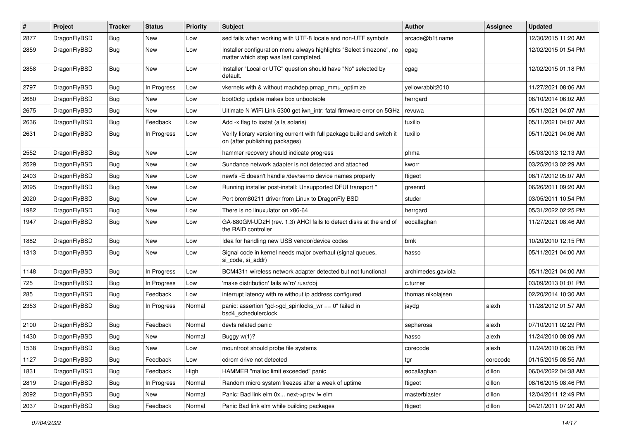| #    | Project      | <b>Tracker</b> | <b>Status</b> | <b>Priority</b> | Subject                                                                                                       | Author             | Assignee | <b>Updated</b>      |
|------|--------------|----------------|---------------|-----------------|---------------------------------------------------------------------------------------------------------------|--------------------|----------|---------------------|
| 2877 | DragonFlyBSD | <b>Bug</b>     | New           | Low             | sed fails when working with UTF-8 locale and non-UTF symbols                                                  | arcade@b1t.name    |          | 12/30/2015 11:20 AM |
| 2859 | DragonFlyBSD | Bug            | New           | Low             | Installer configuration menu always highlights "Select timezone", no<br>matter which step was last completed. | cgag               |          | 12/02/2015 01:54 PM |
| 2858 | DragonFlyBSD | Bug            | New           | Low             | Installer "Local or UTC" question should have "No" selected by<br>default.                                    | cgag               |          | 12/02/2015 01:18 PM |
| 2797 | DragonFlyBSD | <b>Bug</b>     | In Progress   | Low             | vkernels with & without machdep.pmap_mmu_optimize                                                             | yellowrabbit2010   |          | 11/27/2021 08:06 AM |
| 2680 | DragonFlyBSD | Bug            | <b>New</b>    | Low             | boot0cfg update makes box unbootable                                                                          | herrgard           |          | 06/10/2014 06:02 AM |
| 2675 | DragonFlyBSD | <b>Bug</b>     | New           | Low             | Ultimate N WiFi Link 5300 get iwn intr: fatal firmware error on 5GHz                                          | revuwa             |          | 05/11/2021 04:07 AM |
| 2636 | DragonFlyBSD | Bug            | Feedback      | Low             | Add -x flag to iostat (a la solaris)                                                                          | tuxillo            |          | 05/11/2021 04:07 AM |
| 2631 | DragonFlyBSD | Bug            | In Progress   | Low             | Verify library versioning current with full package build and switch it<br>on (after publishing packages)     | tuxillo            |          | 05/11/2021 04:06 AM |
| 2552 | DragonFlyBSD | <b>Bug</b>     | New           | Low             | hammer recovery should indicate progress                                                                      | phma               |          | 05/03/2013 12:13 AM |
| 2529 | DragonFlyBSD | Bug            | <b>New</b>    | Low             | Sundance network adapter is not detected and attached                                                         | kworr              |          | 03/25/2013 02:29 AM |
| 2403 | DragonFlyBSD | Bug            | New           | Low             | newfs -E doesn't handle /dev/serno device names properly                                                      | ftigeot            |          | 08/17/2012 05:07 AM |
| 2095 | DragonFlyBSD | Bug            | <b>New</b>    | Low             | Running installer post-install: Unsupported DFUI transport "                                                  | greenrd            |          | 06/26/2011 09:20 AM |
| 2020 | DragonFlyBSD | <b>Bug</b>     | New           | Low             | Port brcm80211 driver from Linux to DragonFly BSD                                                             | studer             |          | 03/05/2011 10:54 PM |
| 1982 | DragonFlyBSD | Bug            | <b>New</b>    | Low             | There is no linuxulator on x86-64                                                                             | herrgard           |          | 05/31/2022 02:25 PM |
| 1947 | DragonFlyBSD | Bug            | New           | Low             | GA-880GM-UD2H (rev. 1.3) AHCI fails to detect disks at the end of<br>the RAID controller                      | eocallaghan        |          | 11/27/2021 08:46 AM |
| 1882 | DragonFlyBSD | Bug            | <b>New</b>    | Low             | Idea for handling new USB vendor/device codes                                                                 | bmk                |          | 10/20/2010 12:15 PM |
| 1313 | DragonFlyBSD | Bug            | New           | Low             | Signal code in kernel needs major overhaul (signal queues,<br>si code, si addr)                               | hasso              |          | 05/11/2021 04:00 AM |
| 1148 | DragonFlyBSD | <b>Bug</b>     | In Progress   | Low             | BCM4311 wireless network adapter detected but not functional                                                  | archimedes.gaviola |          | 05/11/2021 04:00 AM |
| 725  | DragonFlyBSD | Bug            | In Progress   | Low             | 'make distribution' fails w/'ro' /usr/obj                                                                     | c.turner           |          | 03/09/2013 01:01 PM |
| 285  | DragonFlyBSD | Bug            | Feedback      | Low             | interrupt latency with re without ip address configured                                                       | thomas.nikolajsen  |          | 02/20/2014 10:30 AM |
| 2353 | DragonFlyBSD | Bug            | In Progress   | Normal          | panic: assertion "gd->gd_spinlocks_wr == 0" failed in<br>bsd4_schedulerclock                                  | jaydg              | alexh    | 11/28/2012 01:57 AM |
| 2100 | DragonFlyBSD | Bug            | Feedback      | Normal          | devfs related panic                                                                                           | sepherosa          | alexh    | 07/10/2011 02:29 PM |
| 1430 | DragonFlyBSD | Bug            | New           | Normal          | Buggy w(1)?                                                                                                   | hasso              | alexh    | 11/24/2010 08:09 AM |
| 1538 | DragonFlyBSD | Bug            | New           | Low             | mountroot should probe file systems                                                                           | corecode           | alexh    | 11/24/2010 06:35 PM |
| 1127 | DragonFlyBSD | Bug            | Feedback      | Low             | cdrom drive not detected                                                                                      | tgr                | corecode | 01/15/2015 08:55 AM |
| 1831 | DragonFlyBSD | Bug            | Feedback      | High            | HAMMER "malloc limit exceeded" panic                                                                          | eocallaghan        | dillon   | 06/04/2022 04:38 AM |
| 2819 | DragonFlyBSD | <b>Bug</b>     | In Progress   | Normal          | Random micro system freezes after a week of uptime                                                            | ftigeot            | dillon   | 08/16/2015 08:46 PM |
| 2092 | DragonFlyBSD | Bug            | New           | Normal          | Panic: Bad link elm 0x next->prev != elm                                                                      | masterblaster      | dillon   | 12/04/2011 12:49 PM |
| 2037 | DragonFlyBSD | Bug            | Feedback      | Normal          | Panic Bad link elm while building packages                                                                    | ftigeot            | dillon   | 04/21/2011 07:20 AM |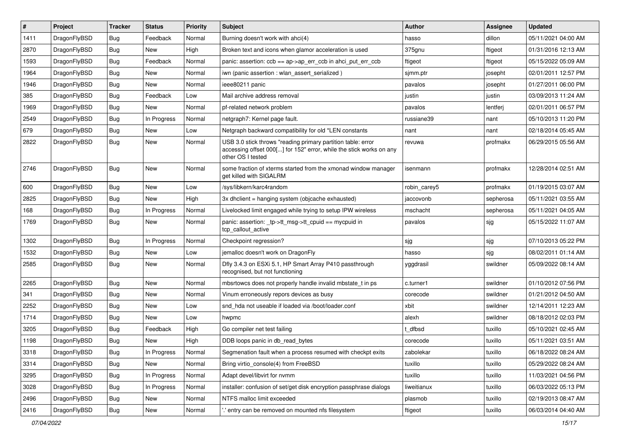| #    | Project      | <b>Tracker</b> | <b>Status</b> | <b>Priority</b> | <b>Subject</b>                                                                                                                                           | <b>Author</b> | Assignee  | <b>Updated</b>      |
|------|--------------|----------------|---------------|-----------------|----------------------------------------------------------------------------------------------------------------------------------------------------------|---------------|-----------|---------------------|
| 1411 | DragonFlyBSD | <b>Bug</b>     | Feedback      | Normal          | Burning doesn't work with ahci(4)                                                                                                                        | hasso         | dillon    | 05/11/2021 04:00 AM |
| 2870 | DragonFlyBSD | <b>Bug</b>     | <b>New</b>    | High            | Broken text and icons when glamor acceleration is used                                                                                                   | 375gnu        | ftigeot   | 01/31/2016 12:13 AM |
| 1593 | DragonFlyBSD | <b>Bug</b>     | Feedback      | Normal          | panic: assertion: $ccb == ap > ap$ err $ccb$ in ahci put err $ccb$                                                                                       | ftigeot       | ftigeot   | 05/15/2022 05:09 AM |
| 1964 | DragonFlyBSD | <b>Bug</b>     | New           | Normal          | iwn (panic assertion : wlan assert serialized)                                                                                                           | sjmm.ptr      | josepht   | 02/01/2011 12:57 PM |
| 1946 | DragonFlyBSD | <b>Bug</b>     | New           | Normal          | ieee80211 panic                                                                                                                                          | pavalos       | josepht   | 01/27/2011 06:00 PM |
| 385  | DragonFlyBSD | <b>Bug</b>     | Feedback      | Low             | Mail archive address removal                                                                                                                             | justin        | justin    | 03/09/2013 11:24 AM |
| 1969 | DragonFlyBSD | <b>Bug</b>     | New           | Normal          | pf-related network problem                                                                                                                               | pavalos       | lentferj  | 02/01/2011 06:57 PM |
| 2549 | DragonFlyBSD | <b>Bug</b>     | In Progress   | Normal          | netgraph7: Kernel page fault.                                                                                                                            | russiane39    | nant      | 05/10/2013 11:20 PM |
| 679  | DragonFlyBSD | <b>Bug</b>     | <b>New</b>    | Low             | Netgraph backward compatibility for old *LEN constants                                                                                                   | nant          | nant      | 02/18/2014 05:45 AM |
| 2822 | DragonFlyBSD | <b>Bug</b>     | New           | Normal          | USB 3.0 stick throws "reading primary partition table: error<br>accessing offset 000[] for 152" error, while the stick works on any<br>other OS I tested | revuwa        | profmakx  | 06/29/2015 05:56 AM |
| 2746 | DragonFlyBSD | <b>Bug</b>     | New           | Normal          | some fraction of xterms started from the xmonad window manager<br>get killed with SIGALRM                                                                | isenmann      | profmakx  | 12/28/2014 02:51 AM |
| 600  | DragonFlyBSD | <b>Bug</b>     | New           | Low             | /sys/libkern/karc4random                                                                                                                                 | robin_carey5  | profmakx  | 01/19/2015 03:07 AM |
| 2825 | DragonFlyBSD | <b>Bug</b>     | New           | High            | 3x dhclient = hanging system (objcache exhausted)                                                                                                        | jaccovonb     | sepherosa | 05/11/2021 03:55 AM |
| 168  | DragonFlyBSD | <b>Bug</b>     | In Progress   | Normal          | Livelocked limit engaged while trying to setup IPW wireless                                                                                              | mschacht      | sepherosa | 05/11/2021 04:05 AM |
| 1769 | DragonFlyBSD | <b>Bug</b>     | New           | Normal          | panic: assertion: _tp->tt_msg->tt_cpuid == mycpuid in<br>tcp callout active                                                                              | pavalos       | sjg       | 05/15/2022 11:07 AM |
| 1302 | DragonFlyBSD | <b>Bug</b>     | In Progress   | Normal          | Checkpoint regression?                                                                                                                                   | sjg           | sjg       | 07/10/2013 05:22 PM |
| 1532 | DragonFlyBSD | <b>Bug</b>     | <b>New</b>    | Low             | jemalloc doesn't work on DragonFly                                                                                                                       | hasso         | sjg       | 08/02/2011 01:14 AM |
| 2585 | DragonFlyBSD | <b>Bug</b>     | New           | Normal          | Dfly 3.4.3 on ESXi 5.1, HP Smart Array P410 passthrough<br>recognised, but not functioning                                                               | yggdrasil     | swildner  | 05/09/2022 08:14 AM |
| 2265 | DragonFlyBSD | <b>Bug</b>     | New           | Normal          | mbsrtowcs does not properly handle invalid mbstate_t in ps                                                                                               | c.turner1     | swildner  | 01/10/2012 07:56 PM |
| 341  | DragonFlyBSD | <b>Bug</b>     | New           | Normal          | Vinum erroneously repors devices as busy                                                                                                                 | corecode      | swildner  | 01/21/2012 04:50 AM |
| 2252 | DragonFlyBSD | <b>Bug</b>     | New           | Low             | snd_hda not useable if loaded via /boot/loader.conf                                                                                                      | xbit          | swildner  | 12/14/2011 12:23 AM |
| 1714 | DragonFlyBSD | <b>Bug</b>     | New           | Low             | hwpmc                                                                                                                                                    | alexh         | swildner  | 08/18/2012 02:03 PM |
| 3205 | DragonFlyBSD | <b>Bug</b>     | Feedback      | High            | Go compiler net test failing                                                                                                                             | : dfbsd       | tuxillo   | 05/10/2021 02:45 AM |
| 1198 | DragonFlyBSD | <b>Bug</b>     | <b>New</b>    | High            | DDB loops panic in db_read_bytes                                                                                                                         | corecode      | tuxillo   | 05/11/2021 03:51 AM |
| 3318 | DragonFlyBSD | Bug            | In Progress   | Normal          | Segmenation fault when a process resumed with checkpt exits                                                                                              | zabolekar     | tuxillo   | 06/18/2022 08:24 AM |
| 3314 | DragonFlyBSD | <b>Bug</b>     | New           | Normal          | Bring virtio_console(4) from FreeBSD                                                                                                                     | tuxillo       | tuxillo   | 05/29/2022 08:24 AM |
| 3295 | DragonFlyBSD | <b>Bug</b>     | In Progress   | Normal          | Adapt devel/libvirt for nvmm                                                                                                                             | tuxillo       | tuxillo   | 11/03/2021 04:56 PM |
| 3028 | DragonFlyBSD | <b>Bug</b>     | In Progress   | Normal          | installer: confusion of set/get disk encryption passphrase dialogs                                                                                       | liweitianux   | tuxillo   | 06/03/2022 05:13 PM |
| 2496 | DragonFlyBSD | <b>Bug</b>     | New           | Normal          | NTFS malloc limit exceeded                                                                                                                               | plasmob       | tuxillo   | 02/19/2013 08:47 AM |
| 2416 | DragonFlyBSD | <b>Bug</b>     | New           | Normal          | ".' entry can be removed on mounted nfs filesystem                                                                                                       | ftigeot       | tuxillo   | 06/03/2014 04:40 AM |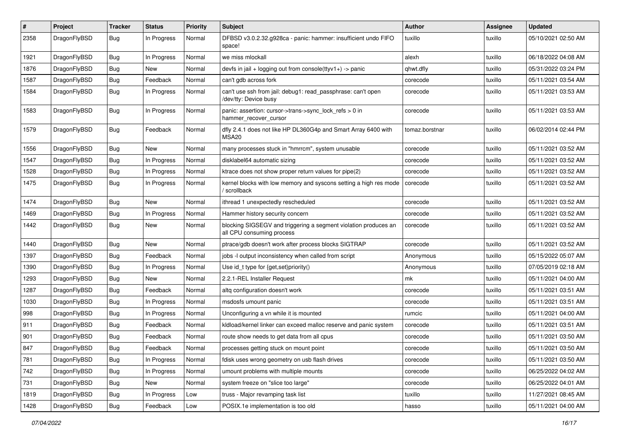| $\sharp$ | Project      | <b>Tracker</b> | <b>Status</b> | <b>Priority</b> | Subject                                                                                      | <b>Author</b>  | Assignee | <b>Updated</b>      |
|----------|--------------|----------------|---------------|-----------------|----------------------------------------------------------------------------------------------|----------------|----------|---------------------|
| 2358     | DragonFlyBSD | <b>Bug</b>     | In Progress   | Normal          | DFBSD v3.0.2.32.g928ca - panic: hammer: insufficient undo FIFO<br>space!                     | tuxillo        | tuxillo  | 05/10/2021 02:50 AM |
| 1921     | DragonFlyBSD | <b>Bug</b>     | In Progress   | Normal          | we miss mlockall                                                                             | alexh          | tuxillo  | 06/18/2022 04:08 AM |
| 1876     | DragonFlyBSD | <b>Bug</b>     | New           | Normal          | devfs in jail + logging out from console(ttyv1+) -> panic                                    | qhwt.dfly      | tuxillo  | 05/31/2022 03:24 PM |
| 1587     | DragonFlyBSD | <b>Bug</b>     | Feedback      | Normal          | can't gdb across fork                                                                        | corecode       | tuxillo  | 05/11/2021 03:54 AM |
| 1584     | DragonFlyBSD | <b>Bug</b>     | In Progress   | Normal          | can't use ssh from jail: debug1: read_passphrase: can't open<br>/dev/tty: Device busy        | corecode       | tuxillo  | 05/11/2021 03:53 AM |
| 1583     | DragonFlyBSD | <b>Bug</b>     | In Progress   | Normal          | panic: assertion: cursor->trans->sync_lock_refs > 0 in<br>hammer_recover_cursor              | corecode       | tuxillo  | 05/11/2021 03:53 AM |
| 1579     | DragonFlyBSD | <b>Bug</b>     | Feedback      | Normal          | dfly 2.4.1 does not like HP DL360G4p and Smart Array 6400 with<br>MSA20                      | tomaz.borstnar | tuxillo  | 06/02/2014 02:44 PM |
| 1556     | DragonFlyBSD | <b>Bug</b>     | New           | Normal          | many processes stuck in "hmrrcm", system unusable                                            | corecode       | tuxillo  | 05/11/2021 03:52 AM |
| 1547     | DragonFlyBSD | <b>Bug</b>     | In Progress   | Normal          | disklabel64 automatic sizing                                                                 | corecode       | tuxillo  | 05/11/2021 03:52 AM |
| 1528     | DragonFlyBSD | Bug            | In Progress   | Normal          | ktrace does not show proper return values for pipe(2)                                        | corecode       | tuxillo  | 05/11/2021 03:52 AM |
| 1475     | DragonFlyBSD | Bug            | In Progress   | Normal          | kernel blocks with low memory and syscons setting a high res mode<br>/ scrollback            | corecode       | tuxillo  | 05/11/2021 03:52 AM |
| 1474     | DragonFlyBSD | Bug            | New           | Normal          | ithread 1 unexpectedly rescheduled                                                           | corecode       | tuxillo  | 05/11/2021 03:52 AM |
| 1469     | DragonFlyBSD | Bug            | In Progress   | Normal          | Hammer history security concern                                                              | corecode       | tuxillo  | 05/11/2021 03:52 AM |
| 1442     | DragonFlyBSD | Bug            | <b>New</b>    | Normal          | blocking SIGSEGV and triggering a segment violation produces an<br>all CPU consuming process | corecode       | tuxillo  | 05/11/2021 03:52 AM |
| 1440     | DragonFlyBSD | <b>Bug</b>     | New           | Normal          | ptrace/gdb doesn't work after process blocks SIGTRAP                                         | corecode       | tuxillo  | 05/11/2021 03:52 AM |
| 1397     | DragonFlyBSD | Bug            | Feedback      | Normal          | jobs -I output inconsistency when called from script                                         | Anonymous      | tuxillo  | 05/15/2022 05:07 AM |
| 1390     | DragonFlyBSD | Bug            | In Progress   | Normal          | Use id_t type for {get,set}priority()                                                        | Anonymous      | tuxillo  | 07/05/2019 02:18 AM |
| 1293     | DragonFlyBSD | <b>Bug</b>     | New           | Normal          | 2.2.1-REL Installer Request                                                                  | mk             | tuxillo  | 05/11/2021 04:00 AM |
| 1287     | DragonFlyBSD | Bug            | Feedback      | Normal          | altq configuration doesn't work                                                              | corecode       | tuxillo  | 05/11/2021 03:51 AM |
| 1030     | DragonFlyBSD | Bug            | In Progress   | Normal          | msdosfs umount panic                                                                         | corecode       | tuxillo  | 05/11/2021 03:51 AM |
| 998      | DragonFlyBSD | <b>Bug</b>     | In Progress   | Normal          | Unconfiguring a vn while it is mounted                                                       | rumcic         | tuxillo  | 05/11/2021 04:00 AM |
| 911      | DragonFlyBSD | Bug            | Feedback      | Normal          | kidload/kernel linker can exceed malloc reserve and panic system                             | corecode       | tuxillo  | 05/11/2021 03:51 AM |
| 901      | DragonFlyBSD | Bug            | Feedback      | Normal          | route show needs to get data from all cpus                                                   | corecode       | tuxillo  | 05/11/2021 03:50 AM |
| 847      | DragonFlyBSD | Bug            | Feedback      | Normal          | processes getting stuck on mount point                                                       | corecode       | tuxillo  | 05/11/2021 03:50 AM |
| 781      | DragonFlyBSD | Bug            | In Progress   | Normal          | fdisk uses wrong geometry on usb flash drives                                                | corecode       | tuxillo  | 05/11/2021 03:50 AM |
| 742      | DragonFlyBSD | Bug            | In Progress   | Normal          | umount problems with multiple mounts                                                         | corecode       | tuxillo  | 06/25/2022 04:02 AM |
| 731      | DragonFlyBSD | <b>Bug</b>     | New           | Normal          | system freeze on "slice too large"                                                           | corecode       | tuxillo  | 06/25/2022 04:01 AM |
| 1819     | DragonFlyBSD | <b>Bug</b>     | In Progress   | Low             | truss - Major revamping task list                                                            | tuxillo        | tuxillo  | 11/27/2021 08:45 AM |
| 1428     | DragonFlyBSD | <b>Bug</b>     | Feedback      | Low             | POSIX.1e implementation is too old                                                           | hasso          | tuxillo  | 05/11/2021 04:00 AM |